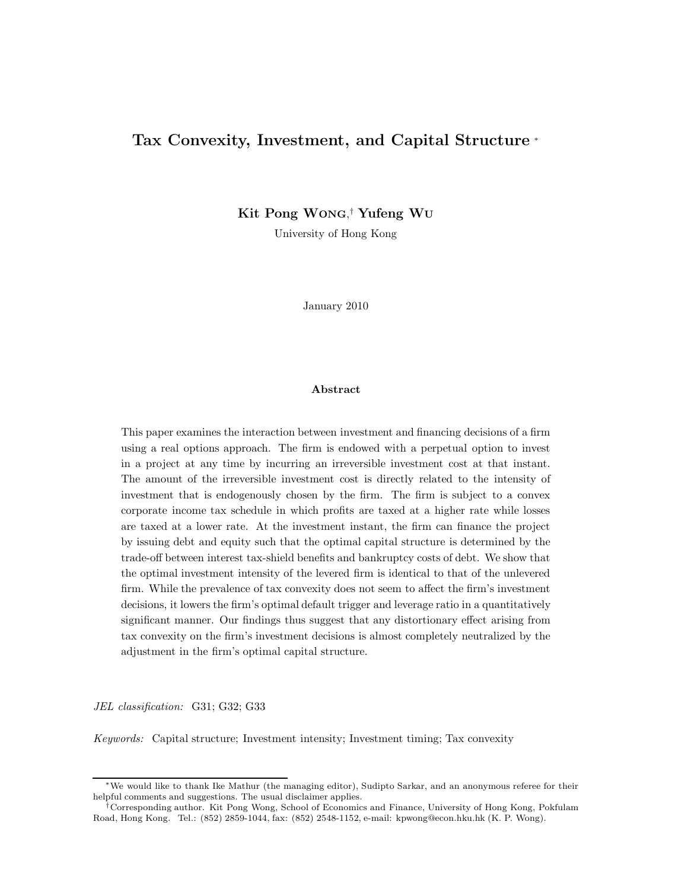## Tax Convexity, Investment, and Capital Structure <sup>∗</sup>

Kit Pong WONG, † Yufeng WU

University of Hong Kong

January 2010

#### Abstract

This paper examines the interaction between investment and financing decisions of a firm using a real options approach. The firm is endowed with a perpetual option to invest in a project at any time by incurring an irreversible investment cost at that instant. The amount of the irreversible investment cost is directly related to the intensity of investment that is endogenously chosen by the firm. The firm is subject to a convex corporate income tax schedule in which profits are taxed at a higher rate while losses are taxed at a lower rate. At the investment instant, the firm can finance the project by issuing debt and equity such that the optimal capital structure is determined by the trade-off between interest tax-shield benefits and bankruptcy costs of debt. We show that the optimal investment intensity of the levered firm is identical to that of the unlevered firm. While the prevalence of tax convexity does not seem to affect the firm's investment decisions, it lowers the firm's optimal default trigger and leverage ratio in a quantitatively significant manner. Our findings thus suggest that any distortionary effect arising from tax convexity on the firm's investment decisions is almost completely neutralized by the adjustment in the firm's optimal capital structure.

JEL classification: G31; G32; G33

Keywords: Capital structure; Investment intensity; Investment timing; Tax convexity

<sup>∗</sup>We would like to thank Ike Mathur (the managing editor), Sudipto Sarkar, and an anonymous referee for their helpful comments and suggestions. The usual disclaimer applies.

<sup>†</sup>Corresponding author. Kit Pong Wong, School of Economics and Finance, University of Hong Kong, Pokfulam Road, Hong Kong. Tel.: (852) 2859-1044, fax: (852) 2548-1152, e-mail: kpwong@econ.hku.hk (K. P. Wong).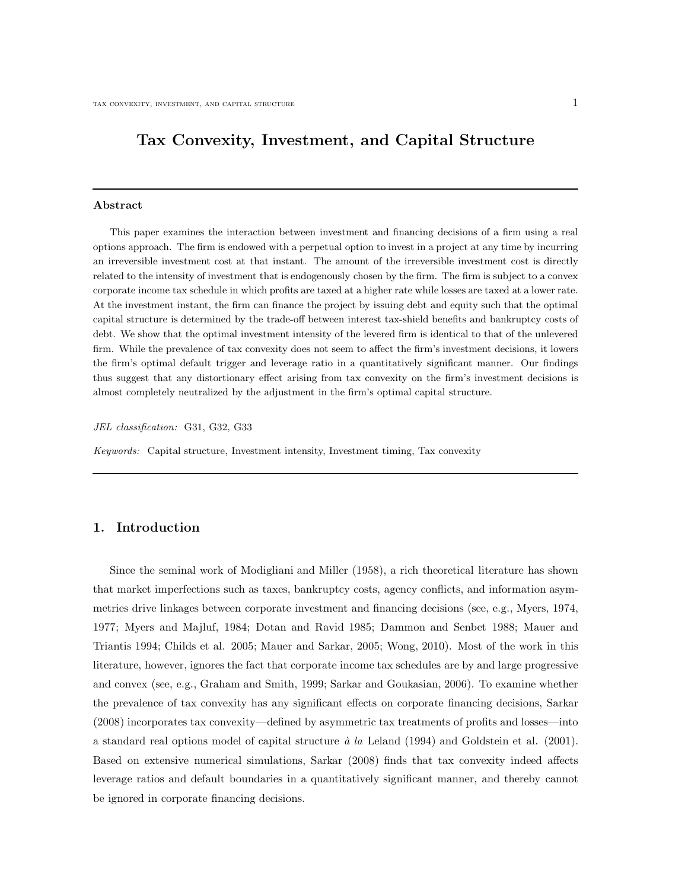## Tax Convexity, Investment, and Capital Structure

#### Abstract

This paper examines the interaction between investment and financing decisions of a firm using a real options approach. The firm is endowed with a perpetual option to invest in a project at any time by incurring an irreversible investment cost at that instant. The amount of the irreversible investment cost is directly related to the intensity of investment that is endogenously chosen by the firm. The firm is subject to a convex corporate income tax schedule in which profits are taxed at a higher rate while losses are taxed at a lower rate. At the investment instant, the firm can finance the project by issuing debt and equity such that the optimal capital structure is determined by the trade-off between interest tax-shield benefits and bankruptcy costs of debt. We show that the optimal investment intensity of the levered firm is identical to that of the unlevered firm. While the prevalence of tax convexity does not seem to affect the firm's investment decisions, it lowers the firm's optimal default trigger and leverage ratio in a quantitatively significant manner. Our findings thus suggest that any distortionary effect arising from tax convexity on the firm's investment decisions is almost completely neutralized by the adjustment in the firm's optimal capital structure.

JEL classification: G31, G32, G33

Keywords: Capital structure, Investment intensity, Investment timing, Tax convexity

#### 1. Introduction

Since the seminal work of Modigliani and Miller (1958), a rich theoretical literature has shown that market imperfections such as taxes, bankruptcy costs, agency conflicts, and information asymmetries drive linkages between corporate investment and financing decisions (see, e.g., Myers, 1974, 1977; Myers and Majluf, 1984; Dotan and Ravid 1985; Dammon and Senbet 1988; Mauer and Triantis 1994; Childs et al. 2005; Mauer and Sarkar, 2005; Wong, 2010). Most of the work in this literature, however, ignores the fact that corporate income tax schedules are by and large progressive and convex (see, e.g., Graham and Smith, 1999; Sarkar and Goukasian, 2006). To examine whether the prevalence of tax convexity has any significant effects on corporate financing decisions, Sarkar (2008) incorporates tax convexity—defined by asymmetric tax treatments of profits and losses—into a standard real options model of capital structure  $\dot{a}$  la Leland (1994) and Goldstein et al. (2001). Based on extensive numerical simulations, Sarkar (2008) finds that tax convexity indeed affects leverage ratios and default boundaries in a quantitatively significant manner, and thereby cannot be ignored in corporate financing decisions.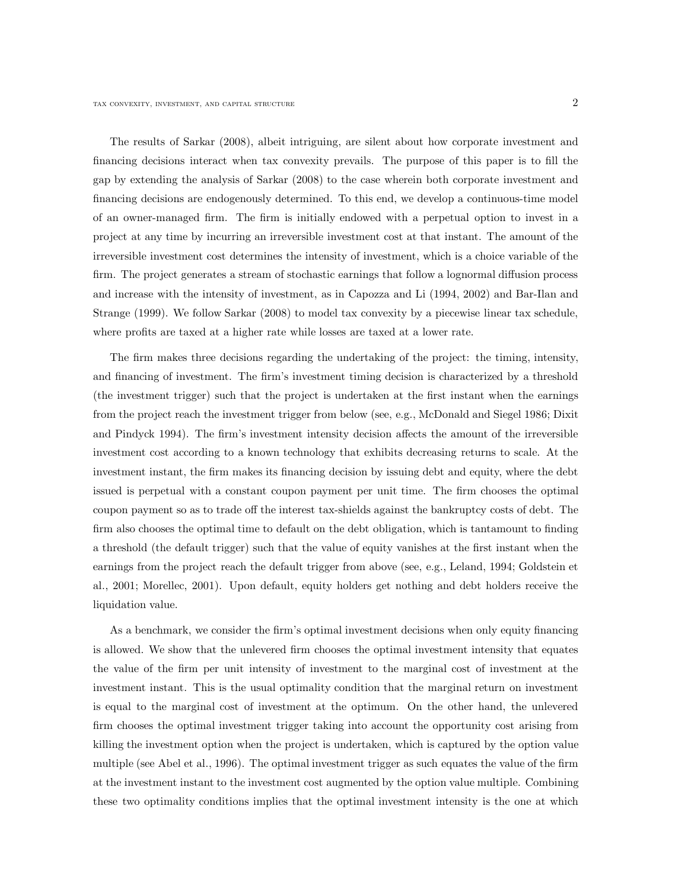The results of Sarkar (2008), albeit intriguing, are silent about how corporate investment and financing decisions interact when tax convexity prevails. The purpose of this paper is to fill the gap by extending the analysis of Sarkar (2008) to the case wherein both corporate investment and financing decisions are endogenously determined. To this end, we develop a continuous-time model of an owner-managed firm. The firm is initially endowed with a perpetual option to invest in a project at any time by incurring an irreversible investment cost at that instant. The amount of the irreversible investment cost determines the intensity of investment, which is a choice variable of the firm. The project generates a stream of stochastic earnings that follow a lognormal diffusion process and increase with the intensity of investment, as in Capozza and Li (1994, 2002) and Bar-Ilan and Strange (1999). We follow Sarkar (2008) to model tax convexity by a piecewise linear tax schedule, where profits are taxed at a higher rate while losses are taxed at a lower rate.

The firm makes three decisions regarding the undertaking of the project: the timing, intensity, and financing of investment. The firm's investment timing decision is characterized by a threshold (the investment trigger) such that the project is undertaken at the first instant when the earnings from the project reach the investment trigger from below (see, e.g., McDonald and Siegel 1986; Dixit and Pindyck 1994). The firm's investment intensity decision affects the amount of the irreversible investment cost according to a known technology that exhibits decreasing returns to scale. At the investment instant, the firm makes its financing decision by issuing debt and equity, where the debt issued is perpetual with a constant coupon payment per unit time. The firm chooses the optimal coupon payment so as to trade off the interest tax-shields against the bankruptcy costs of debt. The firm also chooses the optimal time to default on the debt obligation, which is tantamount to finding a threshold (the default trigger) such that the value of equity vanishes at the first instant when the earnings from the project reach the default trigger from above (see, e.g., Leland, 1994; Goldstein et al., 2001; Morellec, 2001). Upon default, equity holders get nothing and debt holders receive the liquidation value.

As a benchmark, we consider the firm's optimal investment decisions when only equity financing is allowed. We show that the unlevered firm chooses the optimal investment intensity that equates the value of the firm per unit intensity of investment to the marginal cost of investment at the investment instant. This is the usual optimality condition that the marginal return on investment is equal to the marginal cost of investment at the optimum. On the other hand, the unlevered firm chooses the optimal investment trigger taking into account the opportunity cost arising from killing the investment option when the project is undertaken, which is captured by the option value multiple (see Abel et al., 1996). The optimal investment trigger as such equates the value of the firm at the investment instant to the investment cost augmented by the option value multiple. Combining these two optimality conditions implies that the optimal investment intensity is the one at which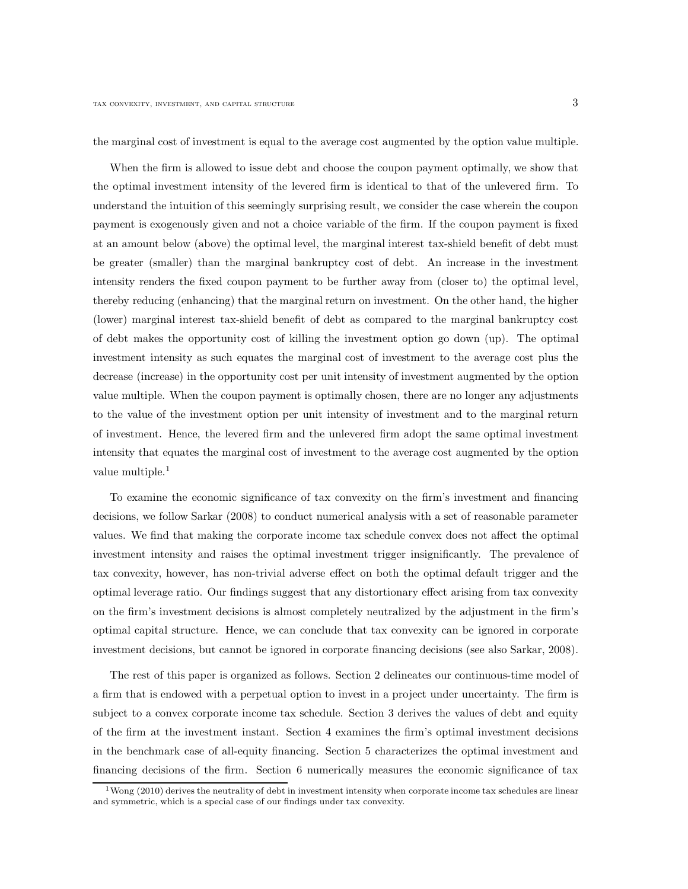the marginal cost of investment is equal to the average cost augmented by the option value multiple.

When the firm is allowed to issue debt and choose the coupon payment optimally, we show that the optimal investment intensity of the levered firm is identical to that of the unlevered firm. To understand the intuition of this seemingly surprising result, we consider the case wherein the coupon payment is exogenously given and not a choice variable of the firm. If the coupon payment is fixed at an amount below (above) the optimal level, the marginal interest tax-shield benefit of debt must be greater (smaller) than the marginal bankruptcy cost of debt. An increase in the investment intensity renders the fixed coupon payment to be further away from (closer to) the optimal level, thereby reducing (enhancing) that the marginal return on investment. On the other hand, the higher (lower) marginal interest tax-shield benefit of debt as compared to the marginal bankruptcy cost of debt makes the opportunity cost of killing the investment option go down (up). The optimal investment intensity as such equates the marginal cost of investment to the average cost plus the decrease (increase) in the opportunity cost per unit intensity of investment augmented by the option value multiple. When the coupon payment is optimally chosen, there are no longer any adjustments to the value of the investment option per unit intensity of investment and to the marginal return of investment. Hence, the levered firm and the unlevered firm adopt the same optimal investment intensity that equates the marginal cost of investment to the average cost augmented by the option value multiple.<sup>1</sup>

To examine the economic significance of tax convexity on the firm's investment and financing decisions, we follow Sarkar (2008) to conduct numerical analysis with a set of reasonable parameter values. We find that making the corporate income tax schedule convex does not affect the optimal investment intensity and raises the optimal investment trigger insignificantly. The prevalence of tax convexity, however, has non-trivial adverse effect on both the optimal default trigger and the optimal leverage ratio. Our findings suggest that any distortionary effect arising from tax convexity on the firm's investment decisions is almost completely neutralized by the adjustment in the firm's optimal capital structure. Hence, we can conclude that tax convexity can be ignored in corporate investment decisions, but cannot be ignored in corporate financing decisions (see also Sarkar, 2008).

The rest of this paper is organized as follows. Section 2 delineates our continuous-time model of a firm that is endowed with a perpetual option to invest in a project under uncertainty. The firm is subject to a convex corporate income tax schedule. Section 3 derives the values of debt and equity of the firm at the investment instant. Section 4 examines the firm's optimal investment decisions in the benchmark case of all-equity financing. Section 5 characterizes the optimal investment and financing decisions of the firm. Section 6 numerically measures the economic significance of tax

 $1$ Wong (2010) derives the neutrality of debt in investment intensity when corporate income tax schedules are linear and symmetric, which is a special case of our findings under tax convexity.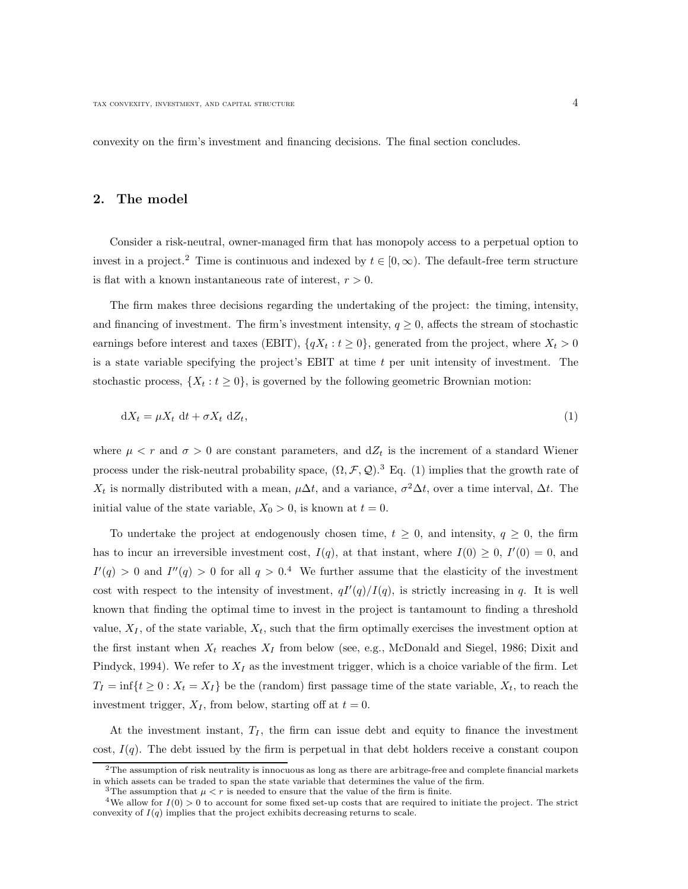convexity on the firm's investment and financing decisions. The final section concludes.

#### 2. The model

Consider a risk-neutral, owner-managed firm that has monopoly access to a perpetual option to invest in a project.<sup>2</sup> Time is continuous and indexed by  $t \in [0, \infty)$ . The default-free term structure is flat with a known instantaneous rate of interest,  $r > 0$ .

The firm makes three decisions regarding the undertaking of the project: the timing, intensity, and financing of investment. The firm's investment intensity,  $q \geq 0$ , affects the stream of stochastic earnings before interest and taxes (EBIT),  $\{qX_t : t \geq 0\}$ , generated from the project, where  $X_t > 0$ is a state variable specifying the project's EBIT at time  $t$  per unit intensity of investment. The stochastic process,  $\{X_t : t \geq 0\}$ , is governed by the following geometric Brownian motion:

$$
dX_t = \mu X_t dt + \sigma X_t dZ_t,
$$
\n<sup>(1)</sup>

where  $\mu < r$  and  $\sigma > 0$  are constant parameters, and  $dZ_t$  is the increment of a standard Wiener process under the risk-neutral probability space,  $(\Omega, \mathcal{F}, \mathcal{Q})$ .<sup>3</sup> Eq. (1) implies that the growth rate of  $X_t$  is normally distributed with a mean,  $\mu \Delta t$ , and a variance,  $\sigma^2 \Delta t$ , over a time interval,  $\Delta t$ . The initial value of the state variable,  $X_0 > 0$ , is known at  $t = 0$ .

To undertake the project at endogenously chosen time,  $t \geq 0$ , and intensity,  $q \geq 0$ , the firm has to incur an irreversible investment cost,  $I(q)$ , at that instant, where  $I(0) \geq 0$ ,  $I'(0) = 0$ , and  $I'(q) > 0$  and  $I''(q) > 0$  for all  $q > 0.4$  We further assume that the elasticity of the investment cost with respect to the intensity of investment,  $qI'(q)/I(q)$ , is strictly increasing in q. It is well known that finding the optimal time to invest in the project is tantamount to finding a threshold value,  $X_I$ , of the state variable,  $X_t$ , such that the firm optimally exercises the investment option at the first instant when  $X_t$  reaches  $X_I$  from below (see, e.g., McDonald and Siegel, 1986; Dixit and Pindyck, 1994). We refer to  $X_I$  as the investment trigger, which is a choice variable of the firm. Let  $T_I = \inf\{t \geq 0 : X_t = X_I\}$  be the (random) first passage time of the state variable,  $X_t$ , to reach the investment trigger,  $X_I$ , from below, starting off at  $t = 0$ .

At the investment instant,  $T_I$ , the firm can issue debt and equity to finance the investment cost,  $I(q)$ . The debt issued by the firm is perpetual in that debt holders receive a constant coupon

 $2$ The assumption of risk neutrality is innocuous as long as there are arbitrage-free and complete financial markets in which assets can be traded to span the state variable that determines the value of the firm.

<sup>&</sup>lt;sup>3</sup>The assumption that  $\mu < r$  is needed to ensure that the value of the firm is finite.

<sup>&</sup>lt;sup>4</sup>We allow for  $I(0) > 0$  to account for some fixed set-up costs that are required to initiate the project. The strict convexity of  $I(q)$  implies that the project exhibits decreasing returns to scale.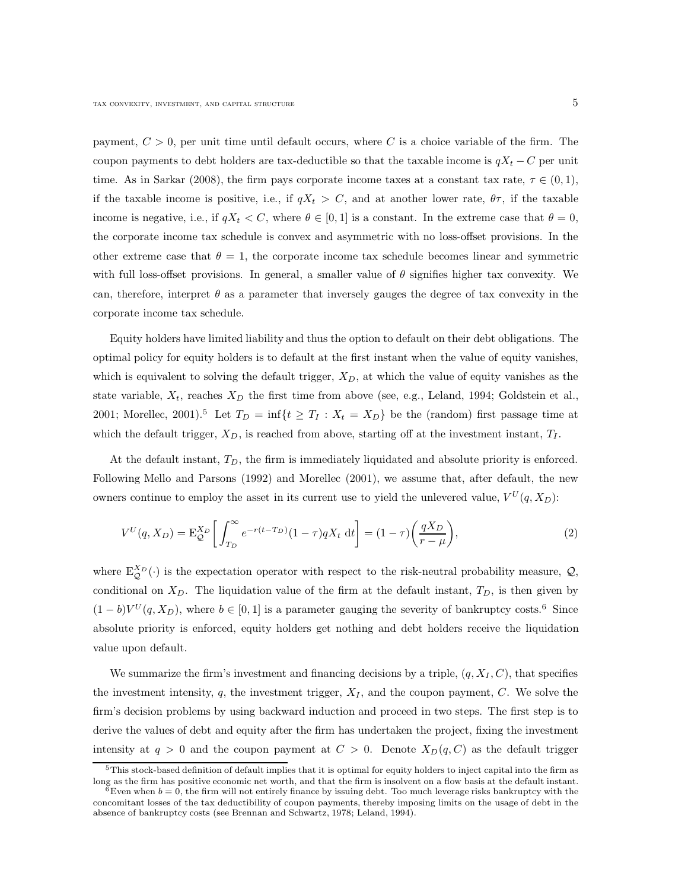payment,  $C > 0$ , per unit time until default occurs, where C is a choice variable of the firm. The coupon payments to debt holders are tax-deductible so that the taxable income is  $qX_t - C$  per unit time. As in Sarkar (2008), the firm pays corporate income taxes at a constant tax rate,  $\tau \in (0, 1)$ , if the taxable income is positive, i.e., if  $qX_t > C$ , and at another lower rate,  $\theta\tau$ , if the taxable income is negative, i.e., if  $qX_t < C$ , where  $\theta \in [0, 1]$  is a constant. In the extreme case that  $\theta = 0$ , the corporate income tax schedule is convex and asymmetric with no loss-offset provisions. In the other extreme case that  $\theta = 1$ , the corporate income tax schedule becomes linear and symmetric with full loss-offset provisions. In general, a smaller value of  $\theta$  signifies higher tax convexity. We can, therefore, interpret  $\theta$  as a parameter that inversely gauges the degree of tax convexity in the corporate income tax schedule.

Equity holders have limited liability and thus the option to default on their debt obligations. The optimal policy for equity holders is to default at the first instant when the value of equity vanishes, which is equivalent to solving the default trigger,  $X_D$ , at which the value of equity vanishes as the state variable,  $X_t$ , reaches  $X_D$  the first time from above (see, e.g., Leland, 1994; Goldstein et al., 2001; Morellec, 2001).<sup>5</sup> Let  $T_D = \inf\{t \geq T_I : X_t = X_D\}$  be the (random) first passage time at which the default trigger,  $X_D$ , is reached from above, starting off at the investment instant,  $T_I$ .

At the default instant,  $T_D$ , the firm is immediately liquidated and absolute priority is enforced. Following Mello and Parsons (1992) and Morellec (2001), we assume that, after default, the new owners continue to employ the asset in its current use to yield the unlevered value,  $V^U(q, X_D)$ :

$$
V^{U}(q, X_{D}) = \mathcal{E}_{\mathcal{Q}}^{X_{D}} \left[ \int_{T_{D}}^{\infty} e^{-r(t - T_{D})} (1 - \tau) q X_{t} \, \mathrm{d}t \right] = (1 - \tau) \left( \frac{q X_{D}}{r - \mu} \right),\tag{2}
$$

where  $E_{\mathcal{Q}}^{X_D}(\cdot)$  is the expectation operator with respect to the risk-neutral probability measure,  $\mathcal{Q}$ , conditional on  $X_D$ . The liquidation value of the firm at the default instant,  $T_D$ , is then given by  $(1 - b)V^{U}(q, X_{D})$ , where  $b \in [0, 1]$  is a parameter gauging the severity of bankruptcy costs.<sup>6</sup> Since absolute priority is enforced, equity holders get nothing and debt holders receive the liquidation value upon default.

We summarize the firm's investment and financing decisions by a triple,  $(q, X_I, C)$ , that specifies the investment intensity, q, the investment trigger,  $X_I$ , and the coupon payment, C. We solve the firm's decision problems by using backward induction and proceed in two steps. The first step is to derive the values of debt and equity after the firm has undertaken the project, fixing the investment intensity at  $q > 0$  and the coupon payment at  $C > 0$ . Denote  $X_D(q, C)$  as the default trigger

 $5$ This stock-based definition of default implies that it is optimal for equity holders to inject capital into the firm as long as the firm has positive economic net worth, and that the firm is insolvent on a flow basis at the default instant.

 $6$ Even when  $b = 0$ , the firm will not entirely finance by issuing debt. Too much leverage risks bankruptcy with the concomitant losses of the tax deductibility of coupon payments, thereby imposing limits on the usage of debt in the absence of bankruptcy costs (see Brennan and Schwartz, 1978; Leland, 1994).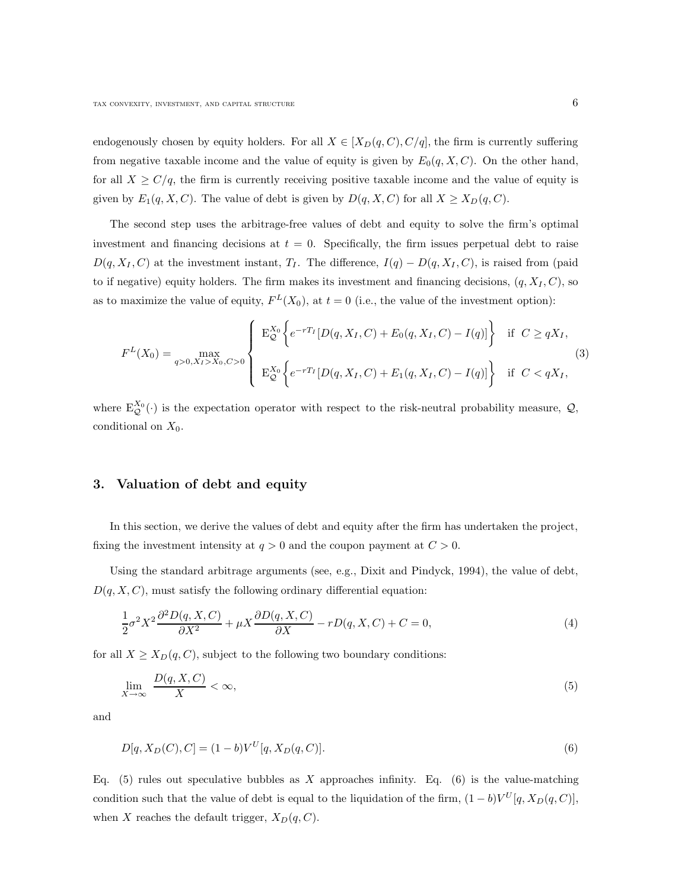endogenously chosen by equity holders. For all  $X \in [X_D(q, C), C/q]$ , the firm is currently suffering from negative taxable income and the value of equity is given by  $E_0(q, X, C)$ . On the other hand, for all  $X \ge C/q$ , the firm is currently receiving positive taxable income and the value of equity is given by  $E_1(q, X, C)$ . The value of debt is given by  $D(q, X, C)$  for all  $X \ge X_D(q, C)$ .

The second step uses the arbitrage-free values of debt and equity to solve the firm's optimal investment and financing decisions at  $t = 0$ . Specifically, the firm issues perpetual debt to raise  $D(q, X_I, C)$  at the investment instant,  $T_I$ . The difference,  $I(q) - D(q, X_I, C)$ , is raised from (paid to if negative) equity holders. The firm makes its investment and financing decisions,  $(q, X_I, C)$ , so as to maximize the value of equity,  $F<sup>L</sup>(X_0)$ , at  $t = 0$  (i.e., the value of the investment option):

$$
F^{L}(X_{0}) = \max_{q>0, X_{I}>X_{0}, C>0} \left\{ \begin{array}{l} \mathbf{E}_{\mathcal{Q}}^{X_{0}} \left\{ e^{-rT_{I}} [D(q, X_{I}, C) + E_{0}(q, X_{I}, C) - I(q)] \right\} & \text{if } C \geq qX_{I}, \\ \mathbf{E}_{\mathcal{Q}}^{X_{0}} \left\{ e^{-rT_{I}} [D(q, X_{I}, C) + E_{1}(q, X_{I}, C) - I(q)] \right\} & \text{if } C < qX_{I}, \end{array} \right\}
$$
(3)

where  $E_{\mathcal{Q}}^{X_0}(\cdot)$  is the expectation operator with respect to the risk-neutral probability measure,  $\mathcal{Q}$ , conditional on  $X_0$ .

#### 3. Valuation of debt and equity

In this section, we derive the values of debt and equity after the firm has undertaken the project, fixing the investment intensity at  $q > 0$  and the coupon payment at  $C > 0$ .

Using the standard arbitrage arguments (see, e.g., Dixit and Pindyck, 1994), the value of debt,  $D(q, X, C)$ , must satisfy the following ordinary differential equation:

$$
\frac{1}{2}\sigma^2 X^2 \frac{\partial^2 D(q, X, C)}{\partial X^2} + \mu X \frac{\partial D(q, X, C)}{\partial X} - rD(q, X, C) + C = 0,
$$
\n(4)

for all  $X \ge X_D(q, C)$ , subject to the following two boundary conditions:

$$
\lim_{X \to \infty} \frac{D(q, X, C)}{X} < \infty,\tag{5}
$$

and

$$
D[q, X_D(C), C] = (1 - b)V^U[q, X_D(q, C)].
$$
\n(6)

Eq.  $(5)$  rules out speculative bubbles as X approaches infinity. Eq.  $(6)$  is the value-matching condition such that the value of debt is equal to the liquidation of the firm,  $(1 - b)V^{U}[q, X_{D}(q, C)]$ , when X reaches the default trigger,  $X_D(q, C)$ .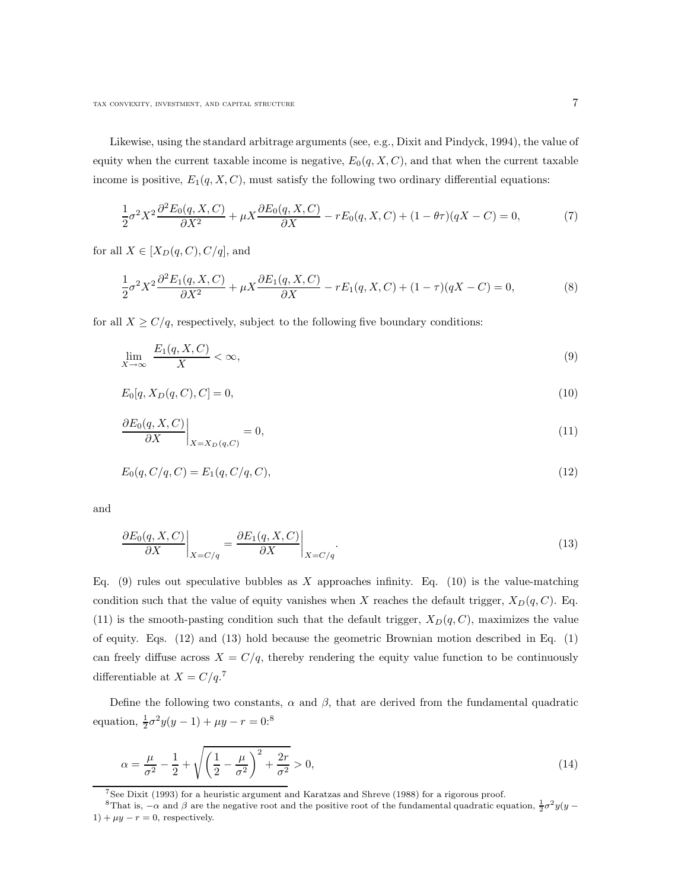Likewise, using the standard arbitrage arguments (see, e.g., Dixit and Pindyck, 1994), the value of equity when the current taxable income is negative,  $E_0(q, X, C)$ , and that when the current taxable income is positive,  $E_1(q, X, C)$ , must satisfy the following two ordinary differential equations:

$$
\frac{1}{2}\sigma^2 X^2 \frac{\partial^2 E_0(q, X, C)}{\partial X^2} + \mu X \frac{\partial E_0(q, X, C)}{\partial X} - rE_0(q, X, C) + (1 - \theta \tau)(qX - C) = 0,\tag{7}
$$

for all  $X \in [X_D(q, C), C/q]$ , and

$$
\frac{1}{2}\sigma^2 X^2 \frac{\partial^2 E_1(q, X, C)}{\partial X^2} + \mu X \frac{\partial E_1(q, X, C)}{\partial X} - r E_1(q, X, C) + (1 - \tau)(qX - C) = 0,
$$
\n(8)

for all  $X \ge C/q$ , respectively, subject to the following five boundary conditions:

$$
\lim_{X \to \infty} \frac{E_1(q, X, C)}{X} < \infty,\tag{9}
$$

$$
E_0[q, X_D(q, C), C] = 0,\t\t(10)
$$

$$
\left. \frac{\partial E_0(q, X, C)}{\partial X} \right|_{X = X_D(q, C)} = 0,\tag{11}
$$

$$
E_0(q, C/q, C) = E_1(q, C/q, C), \tag{12}
$$

and

$$
\left. \frac{\partial E_0(q, X, C)}{\partial X} \right|_{X = C/q} = \left. \frac{\partial E_1(q, X, C)}{\partial X} \right|_{X = C/q}.
$$
\n(13)

Eq. (9) rules out speculative bubbles as X approaches infinity. Eq. (10) is the value-matching condition such that the value of equity vanishes when X reaches the default trigger,  $X_D(q, C)$ . Eq. (11) is the smooth-pasting condition such that the default trigger,  $X_D(q, C)$ , maximizes the value of equity. Eqs. (12) and (13) hold because the geometric Brownian motion described in Eq. (1) can freely diffuse across  $X = C/q$ , thereby rendering the equity value function to be continuously differentiable at  $X = C/q$ .<sup>7</sup>

Define the following two constants,  $\alpha$  and  $\beta$ , that are derived from the fundamental quadratic equation,  $\frac{1}{2}\sigma^2 y(y-1) + \mu y - r = 0$ :<sup>8</sup>

$$
\alpha = \frac{\mu}{\sigma^2} - \frac{1}{2} + \sqrt{\left(\frac{1}{2} - \frac{\mu}{\sigma^2}\right)^2 + \frac{2r}{\sigma^2}} > 0,
$$
\n(14)

<sup>7</sup>See Dixit (1993) for a heuristic argument and Karatzas and Shreve (1988) for a rigorous proof.

<sup>&</sup>lt;sup>8</sup>That is,  $-\alpha$  and  $\beta$  are the negative root and the positive root of the fundamental quadratic equation,  $\frac{1}{2}\sigma^2 y(y - \alpha)$  $1) + \mu y - r = 0$ , respectively.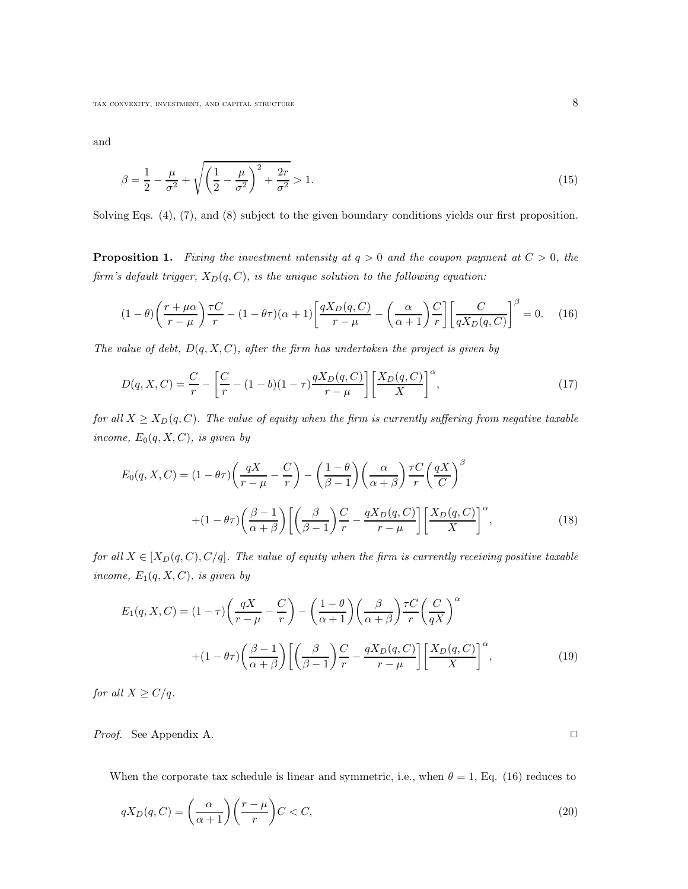and

$$
\beta = \frac{1}{2} - \frac{\mu}{\sigma^2} + \sqrt{\left(\frac{1}{2} - \frac{\mu}{\sigma^2}\right)^2 + \frac{2r}{\sigma^2}} > 1.
$$
\n(15)

Solving Eqs. (4), (7), and (8) subject to the given boundary conditions yields our first proposition.

**Proposition 1.** Fixing the investment intensity at  $q > 0$  and the coupon payment at  $C > 0$ , the firm's default trigger,  $X_D(q, C)$ , is the unique solution to the following equation:

$$
(1 - \theta) \left(\frac{r + \mu \alpha}{r - \mu}\right) \frac{\tau C}{r} - (1 - \theta \tau)(\alpha + 1) \left[\frac{q X_D(q, C)}{r - \mu} - \left(\frac{\alpha}{\alpha + 1}\right) \frac{C}{r}\right] \left[\frac{C}{q X_D(q, C)}\right]^{\beta} = 0. \tag{16}
$$

The value of debt,  $D(q, X, C)$ , after the firm has undertaken the project is given by

$$
D(q, X, C) = \frac{C}{r} - \left[\frac{C}{r} - (1 - b)(1 - \tau)\frac{qX_D(q, C)}{r - \mu}\right] \left[\frac{X_D(q, C)}{X}\right]^\alpha,
$$
\n(17)

for all  $X \geq X_D(q, C)$ . The value of equity when the firm is currently suffering from negative taxable income,  $E_0(q, X, C)$ , is given by

$$
E_0(q, X, C) = (1 - \theta \tau) \left( \frac{qX}{r - \mu} - \frac{C}{r} \right) - \left( \frac{1 - \theta}{\beta - 1} \right) \left( \frac{\alpha}{\alpha + \beta} \right) \frac{\tau C}{r} \left( \frac{qX}{C} \right)^{\beta}
$$

$$
+ (1 - \theta \tau) \left( \frac{\beta - 1}{\alpha + \beta} \right) \left[ \left( \frac{\beta}{\beta - 1} \right) \frac{C}{r} - \frac{qX_D(q, C)}{r - \mu} \right] \left[ \frac{X_D(q, C)}{X} \right]^{\alpha},\tag{18}
$$

for all  $X \in [X_D(q, C), C/q]$ . The value of equity when the firm is currently receiving positive taxable income,  $E_1(q, X, C)$ , is given by

$$
E_1(q, X, C) = (1 - \tau) \left(\frac{qX}{r - \mu} - \frac{C}{r}\right) - \left(\frac{1 - \theta}{\alpha + 1}\right) \left(\frac{\beta}{\alpha + \beta}\right) \frac{\tau C}{r} \left(\frac{C}{qX}\right)^{\alpha}
$$

$$
+ (1 - \theta)\tau \left(\frac{\beta - 1}{\alpha + \beta}\right) \left[\left(\frac{\beta}{\beta - 1}\right) \frac{C}{r} - \frac{qX_D(q, C)}{r - \mu}\right] \left[\frac{X_D(q, C)}{X}\right]^{\alpha},\tag{19}
$$

for all  $X \ge C/q$ .

*Proof.* See Appendix A. ◯

When the corporate tax schedule is linear and symmetric, i.e., when  $\theta = 1$ , Eq. (16) reduces to

$$
qX_D(q,C) = \left(\frac{\alpha}{\alpha+1}\right) \left(\frac{r-\mu}{r}\right) C < C,\tag{20}
$$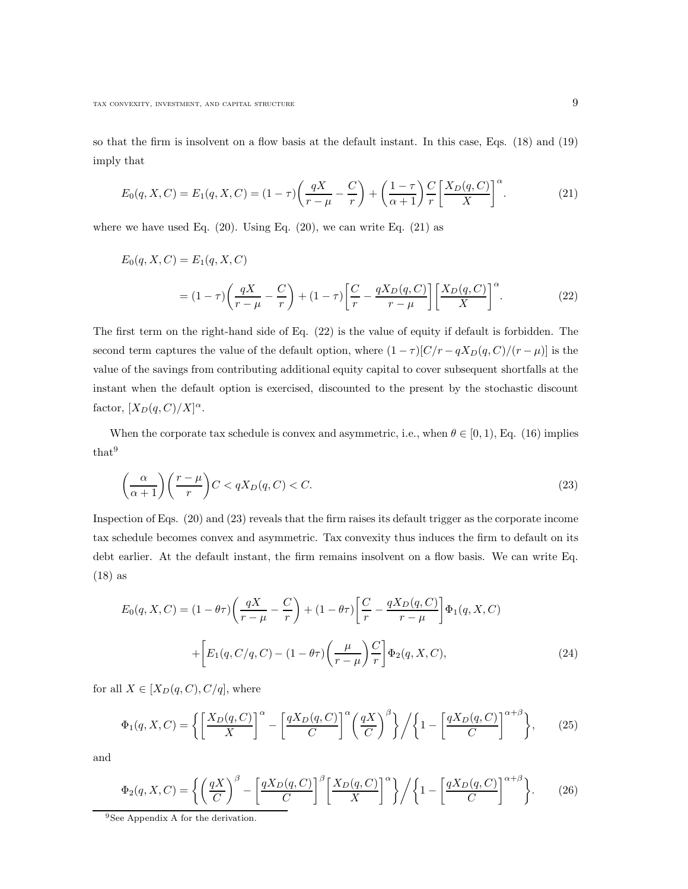so that the firm is insolvent on a flow basis at the default instant. In this case, Eqs. (18) and (19) imply that

$$
E_0(q, X, C) = E_1(q, X, C) = (1 - \tau) \left(\frac{qX}{r - \mu} - \frac{C}{r}\right) + \left(\frac{1 - \tau}{\alpha + 1}\right) \frac{C}{r} \left[\frac{X_D(q, C)}{X}\right]^\alpha.
$$
 (21)

where we have used Eq.  $(20)$ . Using Eq.  $(20)$ , we can write Eq.  $(21)$  as

$$
E_0(q, X, C) = E_1(q, X, C)
$$
  
=  $(1 - \tau) \left( \frac{qX}{r - \mu} - \frac{C}{r} \right) + (1 - \tau) \left[ \frac{C}{r} - \frac{qX_D(q, C)}{r - \mu} \right] \left[ \frac{X_D(q, C)}{X} \right]^\alpha$ . (22)

The first term on the right-hand side of Eq. (22) is the value of equity if default is forbidden. The second term captures the value of the default option, where  $(1 - \tau)[C/r - qX_D(q, C)/(r - \mu)]$  is the value of the savings from contributing additional equity capital to cover subsequent shortfalls at the instant when the default option is exercised, discounted to the present by the stochastic discount factor,  $[X_D(q, C)/X]^{\alpha}$ .

When the corporate tax schedule is convex and asymmetric, i.e., when  $\theta \in [0, 1)$ , Eq. (16) implies that<sup>9</sup>

$$
\left(\frac{\alpha}{\alpha+1}\right)\left(\frac{r-\mu}{r}\right)C < qX_D(q, C) < C.\tag{23}
$$

Inspection of Eqs. (20) and (23) reveals that the firm raises its default trigger as the corporate income tax schedule becomes convex and asymmetric. Tax convexity thus induces the firm to default on its debt earlier. At the default instant, the firm remains insolvent on a flow basis. We can write Eq. (18) as

$$
E_0(q, X, C) = (1 - \theta \tau) \left( \frac{qX}{r - \mu} - \frac{C}{r} \right) + (1 - \theta \tau) \left[ \frac{C}{r} - \frac{qX_D(q, C)}{r - \mu} \right] \Phi_1(q, X, C)
$$

$$
+ \left[ E_1(q, C/q, C) - (1 - \theta \tau) \left( \frac{\mu}{r - \mu} \right) \frac{C}{r} \right] \Phi_2(q, X, C), \tag{24}
$$

for all  $X \in [X_D(q, C), C/q]$ , where

$$
\Phi_1(q, X, C) = \left\{ \left[ \frac{X_D(q, C)}{X} \right]^\alpha - \left[ \frac{qX_D(q, C)}{C} \right]^\alpha \left( \frac{qX}{C} \right)^\beta \right\} / \left\{ 1 - \left[ \frac{qX_D(q, C)}{C} \right]^{\alpha + \beta} \right\},\tag{25}
$$

and

$$
\Phi_2(q, X, C) = \left\{ \left( \frac{qX}{C} \right)^{\beta} - \left[ \frac{qX_D(q, C)}{C} \right]^{\beta} \left[ \frac{X_D(q, C)}{X} \right]^{\alpha} \right\} / \left\{ 1 - \left[ \frac{qX_D(q, C)}{C} \right]^{\alpha + \beta} \right\}.
$$
 (26)

<sup>9</sup>See Appendix A for the derivation.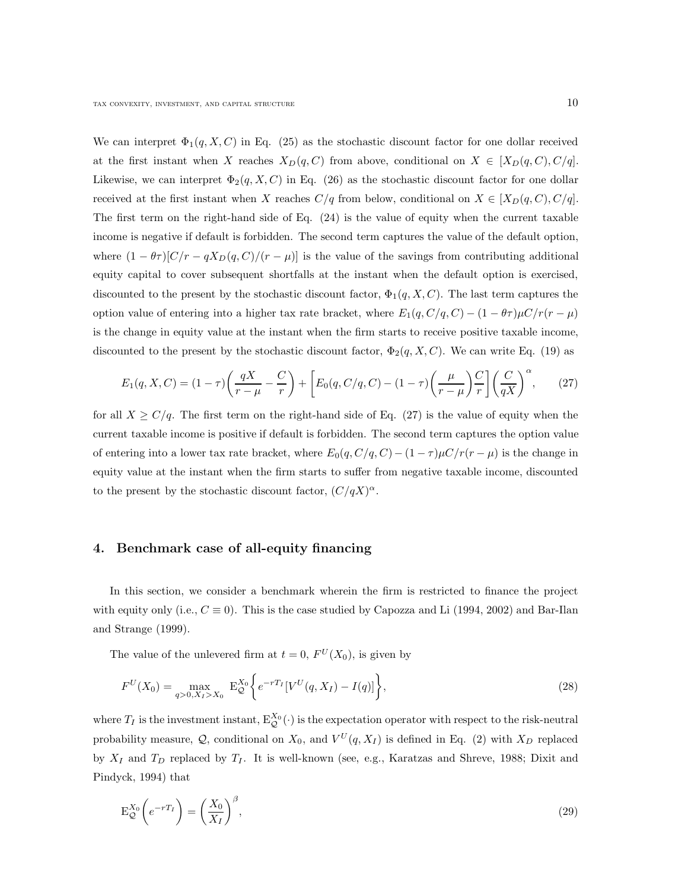We can interpret  $\Phi_1(q, X, C)$  in Eq. (25) as the stochastic discount factor for one dollar received at the first instant when X reaches  $X_D(q, C)$  from above, conditional on  $X \in [X_D(q, C), C/q]$ . Likewise, we can interpret  $\Phi_2(q, X, C)$  in Eq. (26) as the stochastic discount factor for one dollar received at the first instant when X reaches  $C/q$  from below, conditional on  $X \in [X_D(q, C), C/q]$ . The first term on the right-hand side of Eq. (24) is the value of equity when the current taxable income is negative if default is forbidden. The second term captures the value of the default option, where  $(1 - \theta \tau)[C/r - qX_D(q, C)/(r - \mu)]$  is the value of the savings from contributing additional equity capital to cover subsequent shortfalls at the instant when the default option is exercised, discounted to the present by the stochastic discount factor,  $\Phi_1(q, X, C)$ . The last term captures the option value of entering into a higher tax rate bracket, where  $E_1(q, C/q, C) - (1 - \theta \tau) \mu C/r(r - \mu)$ is the change in equity value at the instant when the firm starts to receive positive taxable income, discounted to the present by the stochastic discount factor,  $\Phi_2(q, X, C)$ . We can write Eq. (19) as

$$
E_1(q, X, C) = (1 - \tau) \left(\frac{qX}{r - \mu} - \frac{C}{r}\right) + \left[E_0(q, C/q, C) - (1 - \tau) \left(\frac{\mu}{r - \mu}\right) \frac{C}{r}\right] \left(\frac{C}{qX}\right)^\alpha, \tag{27}
$$

for all  $X \ge C/q$ . The first term on the right-hand side of Eq. (27) is the value of equity when the current taxable income is positive if default is forbidden. The second term captures the option value of entering into a lower tax rate bracket, where  $E_0(q, C/q, C) - (1 - \tau)\mu C/r(r - \mu)$  is the change in equity value at the instant when the firm starts to suffer from negative taxable income, discounted to the present by the stochastic discount factor,  $(C/qX)^{\alpha}$ .

### 4. Benchmark case of all-equity financing

In this section, we consider a benchmark wherein the firm is restricted to finance the project with equity only (i.e.,  $C \equiv 0$ ). This is the case studied by Capozza and Li (1994, 2002) and Bar-Ilan and Strange (1999).

The value of the unlevered firm at  $t = 0$ ,  $F^U(X_0)$ , is given by

$$
F^{U}(X_0) = \max_{q>0, X_I > X_0} \mathbf{E}_{\mathcal{Q}}^{X_0} \bigg\{ e^{-rT_I} [V^U(q, X_I) - I(q)] \bigg\},\tag{28}
$$

where  $T_I$  is the investment instant,  $E_Q^{X_0}(\cdot)$  is the expectation operator with respect to the risk-neutral probability measure,  $\mathcal{Q}$ , conditional on  $X_0$ , and  $V^U(q,X_I)$  is defined in Eq. (2) with  $X_D$  replaced by  $X_I$  and  $T_D$  replaced by  $T_I$ . It is well-known (see, e.g., Karatzas and Shreve, 1988; Dixit and Pindyck, 1994) that

$$
\mathcal{E}_{\mathcal{Q}}^{X_0} \left( e^{-rT_I} \right) = \left( \frac{X_0}{X_I} \right)^{\beta},\tag{29}
$$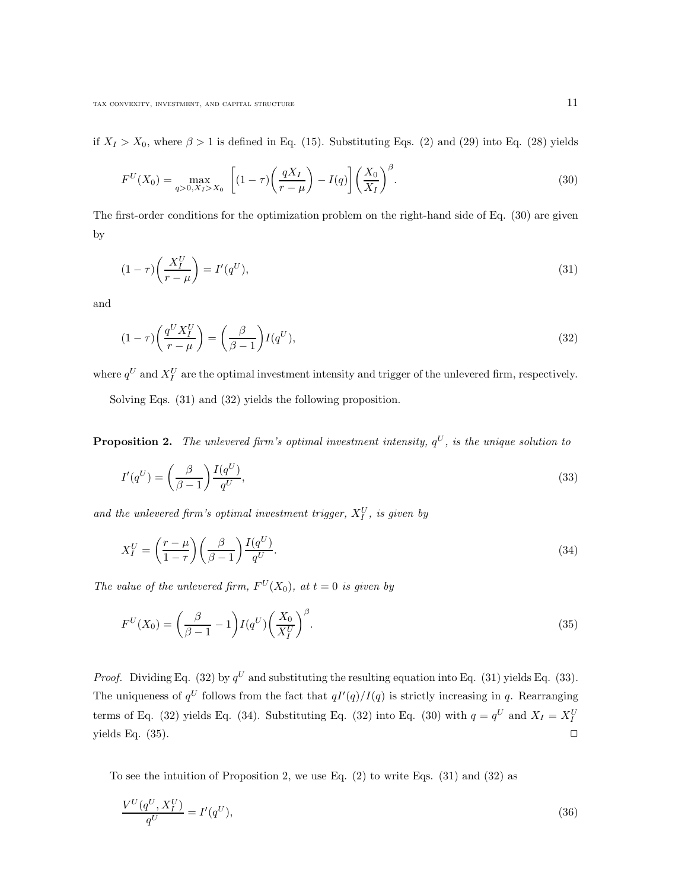if  $X_I > X_0$ , where  $\beta > 1$  is defined in Eq. (15). Substituting Eqs. (2) and (29) into Eq. (28) yields

$$
F^{U}(X_0) = \max_{q>0, X_I > X_0} \left[ (1-\tau) \left( \frac{qX_I}{r-\mu} \right) - I(q) \right] \left( \frac{X_0}{X_I} \right)^{\beta}.
$$
 (30)

The first-order conditions for the optimization problem on the right-hand side of Eq. (30) are given by

$$
(1 - \tau) \left(\frac{X_I^U}{r - \mu}\right) = I'(q^U),\tag{31}
$$

and

$$
(1 - \tau) \left(\frac{q^U X_I^U}{r - \mu}\right) = \left(\frac{\beta}{\beta - 1}\right) I(q^U),\tag{32}
$$

where  $q^U$  and  $X_I^U$  are the optimal investment intensity and trigger of the unlevered firm, respectively.

Solving Eqs. (31) and (32) yields the following proposition.

**Proposition 2.** The unlevered firm's optimal investment intensity,  $q^U$ , is the unique solution to

$$
I'(q^U) = \left(\frac{\beta}{\beta - 1}\right) \frac{I(q^U)}{q^U},\tag{33}
$$

and the unlevered firm's optimal investment trigger,  $X_I^U$ , is given by

$$
X_I^U = \left(\frac{r-\mu}{1-\tau}\right) \left(\frac{\beta}{\beta-1}\right) \frac{I(q^U)}{q^U}.
$$
\n(34)

The value of the unlevered firm,  $F^U(X_0)$ , at  $t = 0$  is given by

$$
F^{U}(X_0) = \left(\frac{\beta}{\beta - 1} - 1\right) I(q^U) \left(\frac{X_0}{X_I^U}\right)^{\beta}.
$$
\n(35)

*Proof.* Dividing Eq. (32) by  $q^U$  and substituting the resulting equation into Eq. (31) yields Eq. (33). The uniqueness of  $q^U$  follows from the fact that  $qI'(q)/I(q)$  is strictly increasing in q. Rearranging terms of Eq. (32) yields Eq. (34). Substituting Eq. (32) into Eq. (30) with  $q = q^U$  and  $X_I = X_I^U$ yields Eq.  $(35)$ .

To see the intuition of Proposition 2, we use Eq.  $(2)$  to write Eqs.  $(31)$  and  $(32)$  as

$$
\frac{V^U(q^U, X_I^U)}{q^U} = I'(q^U),\tag{36}
$$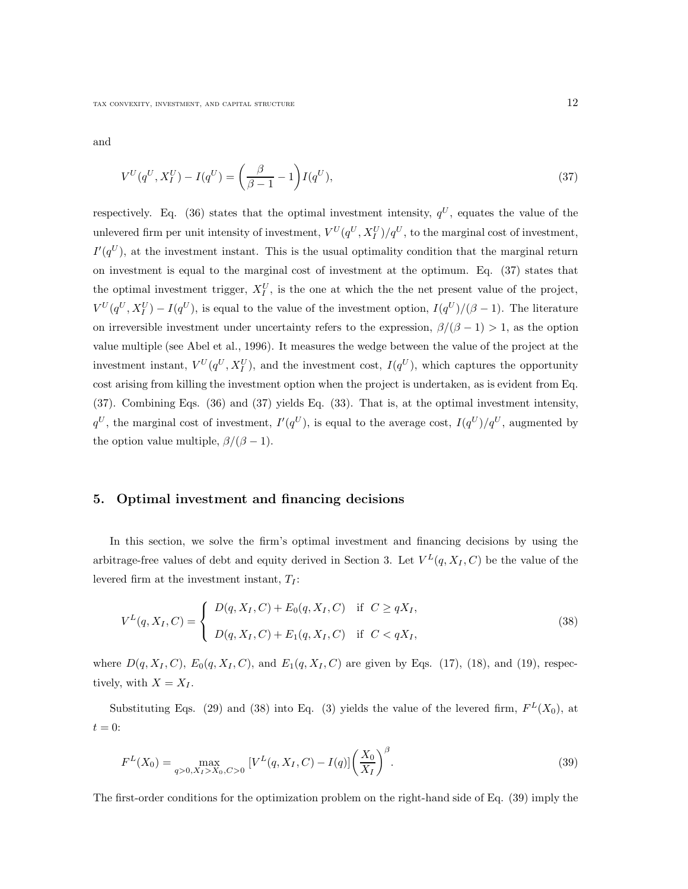and

$$
V^{U}(q^{U}, X_{I}^{U}) - I(q^{U}) = \left(\frac{\beta}{\beta - 1} - 1\right)I(q^{U}),\tag{37}
$$

respectively. Eq. (36) states that the optimal investment intensity,  $q^U$ , equates the value of the unlevered firm per unit intensity of investment,  $V^U(q^U, X_I^U)/q^U$ , to the marginal cost of investment,  $I(q^U)$ , at the investment instant. This is the usual optimality condition that the marginal return on investment is equal to the marginal cost of investment at the optimum. Eq. (37) states that the optimal investment trigger,  $X_I^U$ , is the one at which the net present value of the project,  $V^U(q^U, X_I^U) - I(q^U)$ , is equal to the value of the investment option,  $I(q^U)/(\beta - 1)$ . The literature on irreversible investment under uncertainty refers to the expression,  $\beta/(\beta - 1) > 1$ , as the option value multiple (see Abel et al., 1996). It measures the wedge between the value of the project at the investment instant,  $V^U(q^U, X_I^U)$ , and the investment cost,  $I(q^U)$ , which captures the opportunity cost arising from killing the investment option when the project is undertaken, as is evident from Eq. (37). Combining Eqs. (36) and (37) yields Eq. (33). That is, at the optimal investment intensity,  $q^U$ , the marginal cost of investment,  $I'(q^U)$ , is equal to the average cost,  $I(q^U)/q^U$ , augmented by the option value multiple,  $\beta/(\beta - 1)$ .

#### 5. Optimal investment and financing decisions

In this section, we solve the firm's optimal investment and financing decisions by using the arbitrage-free values of debt and equity derived in Section 3. Let  $V^L(q, X_I, C)$  be the value of the levered firm at the investment instant,  $T_I$ :

$$
V^{L}(q, X_{I}, C) = \begin{cases} D(q, X_{I}, C) + E_{0}(q, X_{I}, C) & \text{if } C \geq qX_{I}, \\ D(q, X_{I}, C) + E_{1}(q, X_{I}, C) & \text{if } C < qX_{I}, \end{cases}
$$
(38)

where  $D(q, X_I, C)$ ,  $E_0(q, X_I, C)$ , and  $E_1(q, X_I, C)$  are given by Eqs. (17), (18), and (19), respectively, with  $X = X_I$ .

Substituting Eqs. (29) and (38) into Eq. (3) yields the value of the levered firm,  $F<sup>L</sup>(X<sub>0</sub>)$ , at  $t = 0$ :

$$
F^{L}(X_0) = \max_{q>0, X_I > X_0, C>0} \left[ V^{L}(q, X_I, C) - I(q) \right] \left( \frac{X_0}{X_I} \right)^{\beta}.
$$
\n(39)

The first-order conditions for the optimization problem on the right-hand side of Eq. (39) imply the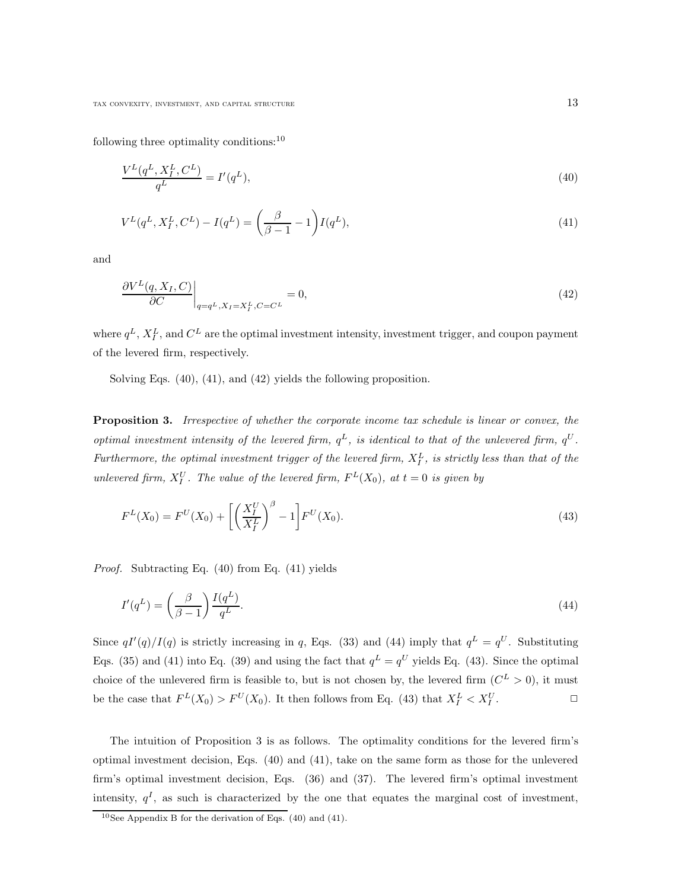following three optimality conditions:<sup>10</sup>

$$
\frac{V^L(q^L, X_I^L, C^L)}{q^L} = I'(q^L),\tag{40}
$$

$$
V^{L}(q^{L}, X_{I}^{L}, C^{L}) - I(q^{L}) = \left(\frac{\beta}{\beta - 1} - 1\right)I(q^{L}),\tag{41}
$$

and

$$
\left. \frac{\partial V^L(q, X_I, C)}{\partial C} \right|_{q = q^L, X_I = X_I^L, C = C^L} = 0,
$$
\n(42)

where  $q^L$ ,  $X_I^L$ , and  $C^L$  are the optimal investment intensity, investment trigger, and coupon payment of the levered firm, respectively.

Solving Eqs. (40), (41), and (42) yields the following proposition.

Proposition 3. Irrespective of whether the corporate income tax schedule is linear or convex, the optimal investment intensity of the levered firm,  $q^L$ , is identical to that of the unlevered firm,  $q^U$ . Furthermore, the optimal investment trigger of the levered firm,  $X_I^L$ , is strictly less than that of the unlevered firm,  $X_I^U$ . The value of the levered firm,  $F^L(X_0)$ , at  $t=0$  is given by

$$
F^{L}(X_0) = F^{U}(X_0) + \left[ \left( \frac{X_I^U}{X_I^L} \right)^{\beta} - 1 \right] F^{U}(X_0).
$$
\n(43)

Proof. Subtracting Eq. (40) from Eq. (41) yields

$$
I'(q^L) = \left(\frac{\beta}{\beta - 1}\right) \frac{I(q^L)}{q^L}.\tag{44}
$$

Since  $qI'(q)/I(q)$  is strictly increasing in q, Eqs. (33) and (44) imply that  $q^L = q^U$ . Substituting Eqs. (35) and (41) into Eq. (39) and using the fact that  $q^L = q^U$  yields Eq. (43). Since the optimal choice of the unlevered firm is feasible to, but is not chosen by, the levered firm  $(C^{L} > 0)$ , it must be the case that  $F^L(X_0) > F^U(X_0)$ . It then follows from Eq. (43) that  $X_I^L < X_I^U$  $\Box$ 

The intuition of Proposition 3 is as follows. The optimality conditions for the levered firm's optimal investment decision, Eqs. (40) and (41), take on the same form as those for the unlevered firm's optimal investment decision, Eqs. (36) and (37). The levered firm's optimal investment intensity,  $q<sup>I</sup>$ , as such is characterized by the one that equates the marginal cost of investment,

<sup>&</sup>lt;sup>10</sup>See Appendix B for the derivation of Eqs.  $(40)$  and  $(41)$ .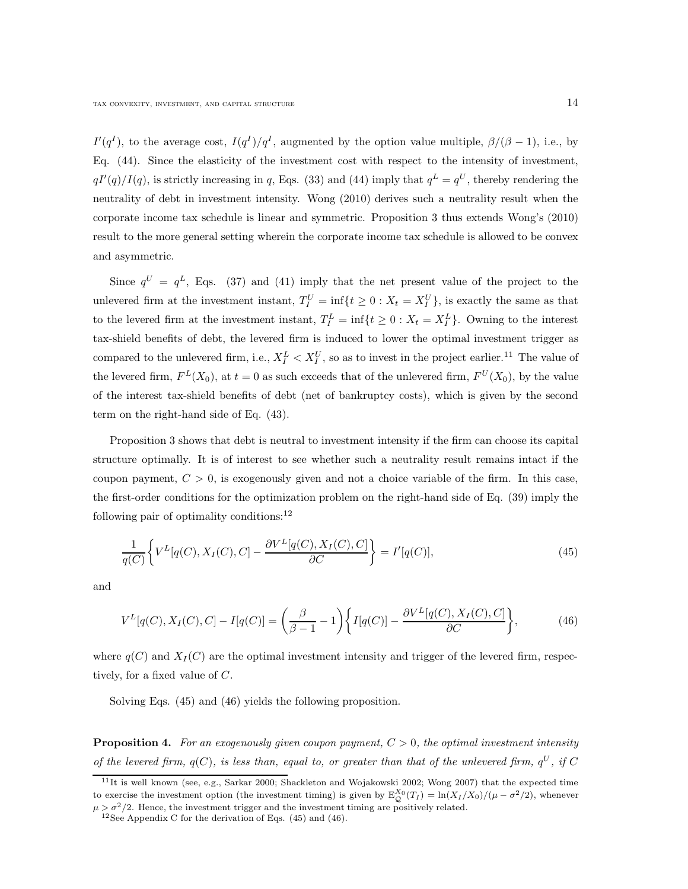$I'(q<sup>I</sup>)$ , to the average cost,  $I(q<sup>I</sup>)/q<sup>I</sup>$ , augmented by the option value multiple,  $\beta/(\beta - 1)$ , i.e., by Eq. (44). Since the elasticity of the investment cost with respect to the intensity of investment,  $qI'(q)/I(q)$ , is strictly increasing in q, Eqs. (33) and (44) imply that  $q^L = q^U$ , thereby rendering the neutrality of debt in investment intensity. Wong (2010) derives such a neutrality result when the corporate income tax schedule is linear and symmetric. Proposition 3 thus extends Wong's (2010) result to the more general setting wherein the corporate income tax schedule is allowed to be convex and asymmetric.

Since  $q^U = q^L$ , Eqs. (37) and (41) imply that the net present value of the project to the unlevered firm at the investment instant,  $T_I^U = \inf\{t \geq 0 : X_t = X_I^U\}$ , is exactly the same as that to the levered firm at the investment instant,  $T_I^L = \inf\{t \geq 0 : X_t = X_I^L\}$ . Owning to the interest tax-shield benefits of debt, the levered firm is induced to lower the optimal investment trigger as compared to the unlevered firm, i.e.,  $X_I^L < X_I^U$ , so as to invest in the project earlier.<sup>11</sup> The value of the levered firm,  $F^L(X_0)$ , at  $t=0$  as such exceeds that of the unlevered firm,  $F^U(X_0)$ , by the value of the interest tax-shield benefits of debt (net of bankruptcy costs), which is given by the second term on the right-hand side of Eq. (43).

Proposition 3 shows that debt is neutral to investment intensity if the firm can choose its capital structure optimally. It is of interest to see whether such a neutrality result remains intact if the coupon payment,  $C > 0$ , is exogenously given and not a choice variable of the firm. In this case, the first-order conditions for the optimization problem on the right-hand side of Eq. (39) imply the following pair of optimality conditions: $12$ 

$$
\frac{1}{q(C)}\left\{V^L[q(C), X_I(C), C] - \frac{\partial V^L[q(C), X_I(C), C]}{\partial C}\right\} = I'[q(C)],\tag{45}
$$

and

$$
V^{L}[q(C), X_{I}(C), C] - I[q(C)] = \left(\frac{\beta}{\beta - 1} - 1\right) \left\{ I[q(C)] - \frac{\partial V^{L}[q(C), X_{I}(C), C]}{\partial C} \right\},
$$
(46)

where  $q(C)$  and  $X_I(C)$  are the optimal investment intensity and trigger of the levered firm, respectively, for a fixed value of C.

Solving Eqs. (45) and (46) yields the following proposition.

**Proposition 4.** For an exogenously given coupon payment,  $C > 0$ , the optimal investment intensity of the levered firm,  $q(C)$ , is less than, equal to, or greater than that of the unlevered firm,  $q^U$ , if C

 $11$ It is well known (see, e.g., Sarkar 2000; Shackleton and Wojakowski 2002; Wong 2007) that the expected time to exercise the investment option (the investment timing) is given by  $E_{\mathcal{Q}}^{X_0}(T_I) = \ln(X_I/X_0)/(\mu - \sigma^2/2)$ , whenever  $\mu > \sigma^2/2$ . Hence, the investment trigger and the investment timing are positively related.

<sup>&</sup>lt;sup>12</sup>See Appendix C for the derivation of Eqs.  $(45)$  and  $(46)$ .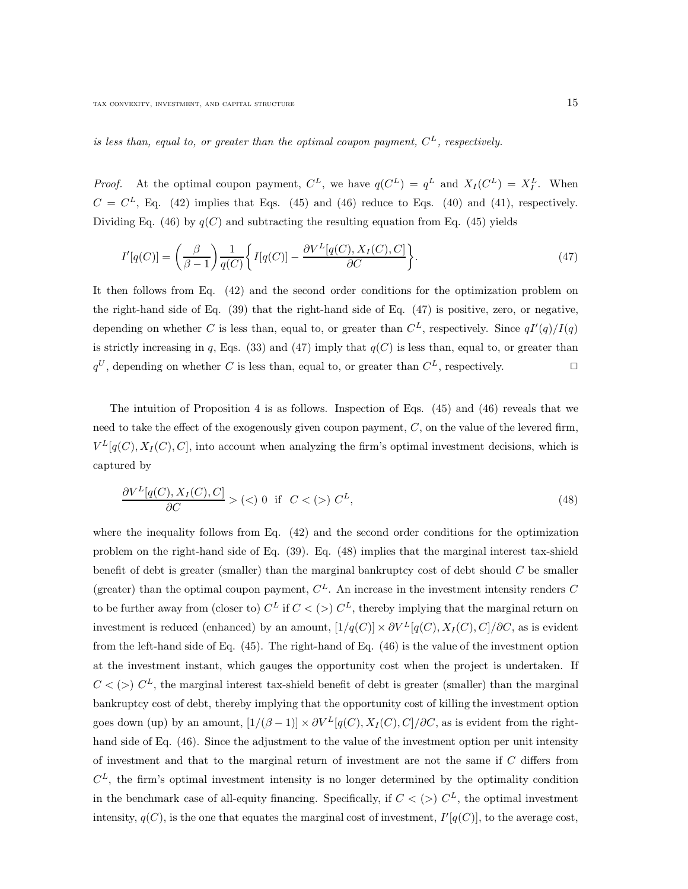is less than, equal to, or greater than the optimal coupon payment,  $C^L$ , respectively.

*Proof.* At the optimal coupon payment,  $C^L$ , we have  $q(C^L) = q^L$  and  $X_I(C^L) = X_I^L$ . When  $C = C<sup>L</sup>$ , Eq. (42) implies that Eqs. (45) and (46) reduce to Eqs. (40) and (41), respectively. Dividing Eq. (46) by  $q(C)$  and subtracting the resulting equation from Eq. (45) yields

$$
I'[q(C)] = \left(\frac{\beta}{\beta - 1}\right) \frac{1}{q(C)} \left\{ I[q(C)] - \frac{\partial V^L[q(C), X_I(C), C]}{\partial C} \right\}.
$$
\n(47)

It then follows from Eq. (42) and the second order conditions for the optimization problem on the right-hand side of Eq. (39) that the right-hand side of Eq. (47) is positive, zero, or negative, depending on whether C is less than, equal to, or greater than  $C<sup>L</sup>$ , respectively. Since  $qI'(q)/I(q)$ is strictly increasing in q, Eqs. (33) and (47) imply that  $q(C)$  is less than, equal to, or greater than  $q^U$ , depending on whether C is less than, equal to, or greater than  $C^L$ , respectively.

The intuition of Proposition 4 is as follows. Inspection of Eqs. (45) and (46) reveals that we need to take the effect of the exogenously given coupon payment, C, on the value of the levered firm,  $V^L[q(C), X_I(C), C]$ , into account when analyzing the firm's optimal investment decisions, which is captured by

$$
\frac{\partial V^L[q(C), X_I(C), C]}{\partial C} > \left( \langle \rangle \right) \quad \text{if} \quad C < \left( \rangle \right) C^L,\tag{48}
$$

where the inequality follows from Eq. (42) and the second order conditions for the optimization problem on the right-hand side of Eq. (39). Eq. (48) implies that the marginal interest tax-shield benefit of debt is greater (smaller) than the marginal bankruptcy cost of debt should  $C$  be smaller (greater) than the optimal coupon payment,  $C<sup>L</sup>$ . An increase in the investment intensity renders C to be further away from (closer to)  $C^L$  if  $C < (>)$   $C^L$ , thereby implying that the marginal return on investment is reduced (enhanced) by an amount,  $[1/q(C)] \times \partial V^L[q(C), X_I(C), C]/\partial C$ , as is evident from the left-hand side of Eq. (45). The right-hand of Eq. (46) is the value of the investment option at the investment instant, which gauges the opportunity cost when the project is undertaken. If  $C<(>)$   $C<sup>L</sup>$ , the marginal interest tax-shield benefit of debt is greater (smaller) than the marginal bankruptcy cost of debt, thereby implying that the opportunity cost of killing the investment option goes down (up) by an amount,  $[1/(\beta-1)] \times \partial V^L[q(C), X_I(C), C]/\partial C$ , as is evident from the righthand side of Eq. (46). Since the adjustment to the value of the investment option per unit intensity of investment and that to the marginal return of investment are not the same if C differs from  $C<sup>L</sup>$ , the firm's optimal investment intensity is no longer determined by the optimality condition in the benchmark case of all-equity financing. Specifically, if  $C < (>)$   $C<sup>L</sup>$ , the optimal investment intensity,  $q(C)$ , is the one that equates the marginal cost of investment,  $I'[q(C)]$ , to the average cost,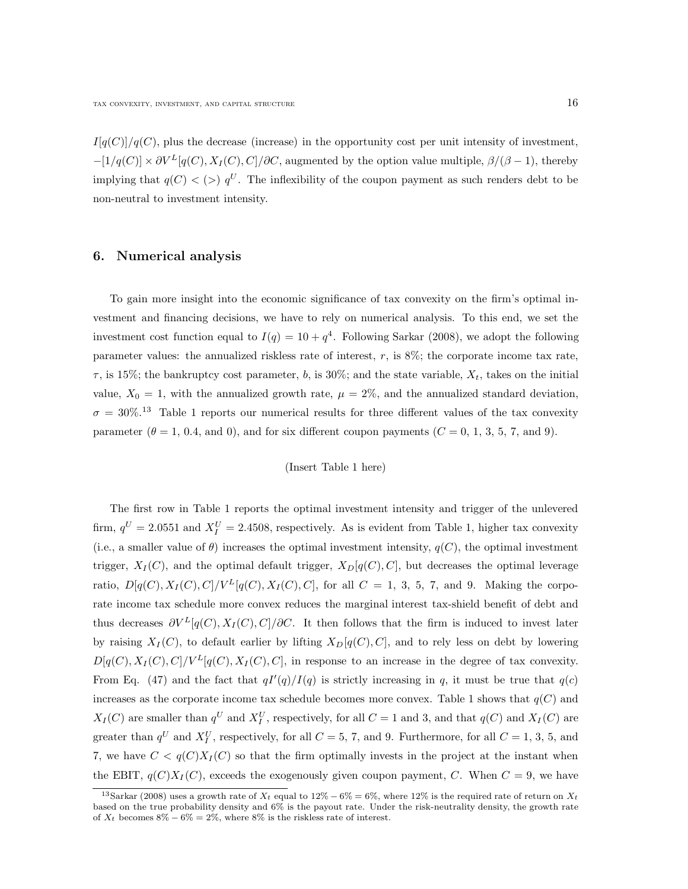$I[q(C)]/q(C)$ , plus the decrease (increase) in the opportunity cost per unit intensity of investment,  $-[1/q(C)] \times \partial V^L[q(C), X_I(C), C]/\partial C$ , augmented by the option value multiple,  $\beta/(\beta - 1)$ , thereby implying that  $q(C)$  < (>)  $q^U$ . The inflexibility of the coupon payment as such renders debt to be non-neutral to investment intensity.

#### 6. Numerical analysis

To gain more insight into the economic significance of tax convexity on the firm's optimal investment and financing decisions, we have to rely on numerical analysis. To this end, we set the investment cost function equal to  $I(q) = 10 + q^4$ . Following Sarkar (2008), we adopt the following parameter values: the annualized riskless rate of interest,  $r$ , is  $8\%$ ; the corporate income tax rate,  $\tau$ , is 15%; the bankruptcy cost parameter, b, is 30%; and the state variable,  $X_t$ , takes on the initial value,  $X_0 = 1$ , with the annualized growth rate,  $\mu = 2\%$ , and the annualized standard deviation,  $\sigma = 30\%.$ <sup>13</sup> Table 1 reports our numerical results for three different values of the tax convexity parameter  $(\theta = 1, 0.4, \text{ and } 0)$ , and for six different coupon payments  $(C = 0, 1, 3, 5, 7, \text{ and } 9)$ .

#### (Insert Table 1 here)

The first row in Table 1 reports the optimal investment intensity and trigger of the unlevered firm,  $q^U = 2.0551$  and  $X_I^U = 2.4508$ , respectively. As is evident from Table 1, higher tax convexity (i.e., a smaller value of  $\theta$ ) increases the optimal investment intensity,  $q(C)$ , the optimal investment trigger,  $X_I(C)$ , and the optimal default trigger,  $X_D[q(C), C]$ , but decreases the optimal leverage ratio,  $D[q(C), X_I(C), C]/V^L[q(C), X_I(C), C]$ , for all  $C = 1, 3, 5, 7$ , and 9. Making the corporate income tax schedule more convex reduces the marginal interest tax-shield benefit of debt and thus decreases  $\partial V^L[q(C), X_I(C), C]/\partial C$ . It then follows that the firm is induced to invest later by raising  $X_I(C)$ , to default earlier by lifting  $X_D[q(C), C]$ , and to rely less on debt by lowering  $D[q(C), X_I(C), C]/V^L[q(C), X_I(C), C]$ , in response to an increase in the degree of tax convexity. From Eq. (47) and the fact that  $qI'(q)/I(q)$  is strictly increasing in q, it must be true that  $q(c)$ increases as the corporate income tax schedule becomes more convex. Table 1 shows that  $q(C)$  and  $X_I(C)$  are smaller than  $q^U$  and  $X_I^U$ , respectively, for all  $C = 1$  and 3, and that  $q(C)$  and  $X_I(C)$  are greater than  $q^U$  and  $X_I^U$ , respectively, for all  $C = 5, 7$ , and 9. Furthermore, for all  $C = 1, 3, 5$ , and 7, we have  $C < q(C)X_I(C)$  so that the firm optimally invests in the project at the instant when the EBIT,  $q(C)X<sub>I</sub>(C)$ , exceeds the exogenously given coupon payment, C. When  $C = 9$ , we have

<sup>&</sup>lt;sup>13</sup>Sarkar (2008) uses a growth rate of  $X_t$  equal to 12% – 6% = 6%, where 12% is the required rate of return on  $X_t$ based on the true probability density and 6% is the payout rate. Under the risk-neutrality density, the growth rate of  $X_t$  becomes  $8\% - 6\% = 2\%$ , where  $8\%$  is the riskless rate of interest.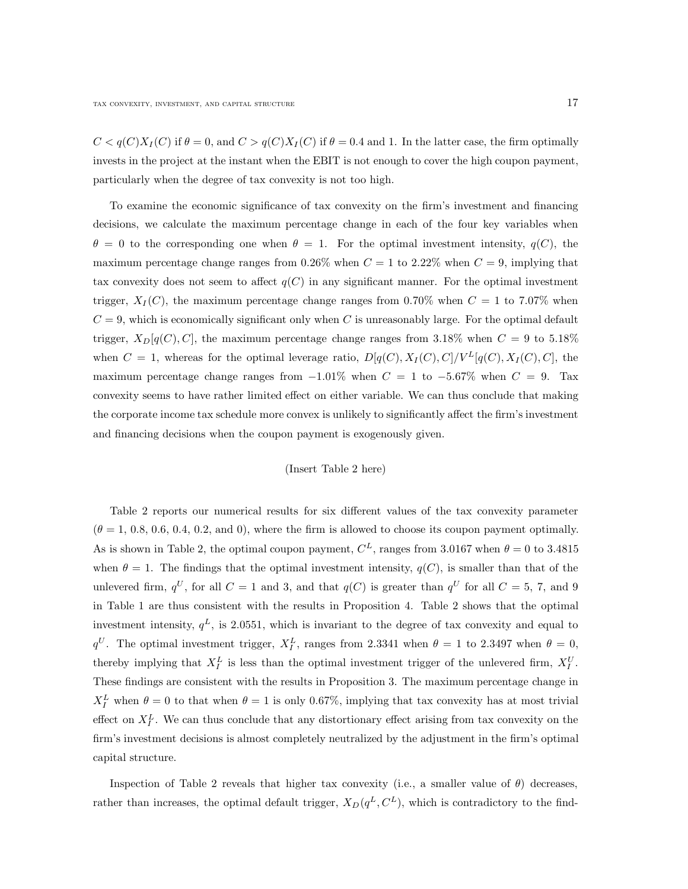$C < q(C)X<sub>I</sub>(C)$  if  $\theta = 0$ , and  $C > q(C)X<sub>I</sub>(C)$  if  $\theta = 0.4$  and 1. In the latter case, the firm optimally invests in the project at the instant when the EBIT is not enough to cover the high coupon payment, particularly when the degree of tax convexity is not too high.

To examine the economic significance of tax convexity on the firm's investment and financing decisions, we calculate the maximum percentage change in each of the four key variables when  $\theta = 0$  to the corresponding one when  $\theta = 1$ . For the optimal investment intensity,  $q(C)$ , the maximum percentage change ranges from 0.26% when  $C = 1$  to 2.22% when  $C = 9$ , implying that tax convexity does not seem to affect  $q(C)$  in any significant manner. For the optimal investment trigger,  $X_I(C)$ , the maximum percentage change ranges from 0.70% when  $C = 1$  to 7.07% when  $C = 9$ , which is economically significant only when C is unreasonably large. For the optimal default trigger,  $X_D[q(C), C]$ , the maximum percentage change ranges from 3.18% when  $C = 9$  to 5.18% when  $C = 1$ , whereas for the optimal leverage ratio,  $D[q(C), X_I(C), C]/V^L[q(C), X_I(C), C]$ , the maximum percentage change ranges from  $-1.01\%$  when  $C = 1$  to  $-5.67\%$  when  $C = 9$ . Tax convexity seems to have rather limited effect on either variable. We can thus conclude that making the corporate income tax schedule more convex is unlikely to significantly affect the firm's investment and financing decisions when the coupon payment is exogenously given.

#### (Insert Table 2 here)

Table 2 reports our numerical results for six different values of the tax convexity parameter  $(\theta = 1, 0.8, 0.6, 0.4, 0.2, \text{ and } 0)$ , where the firm is allowed to choose its coupon payment optimally. As is shown in Table 2, the optimal coupon payment,  $C<sup>L</sup>$ , ranges from 3.0167 when  $\theta = 0$  to 3.4815 when  $\theta = 1$ . The findings that the optimal investment intensity,  $q(C)$ , is smaller than that of the unlevered firm,  $q^U$ , for all  $C = 1$  and 3, and that  $q(C)$  is greater than  $q^U$  for all  $C = 5, 7$ , and 9 in Table 1 are thus consistent with the results in Proposition 4. Table 2 shows that the optimal investment intensity,  $q<sup>L</sup>$ , is 2.0551, which is invariant to the degree of tax convexity and equal to  $q^U$ . The optimal investment trigger,  $X_I^L$ , ranges from 2.3341 when  $\theta = 1$  to 2.3497 when  $\theta = 0$ , thereby implying that  $X_I^L$  is less than the optimal investment trigger of the unlevered firm,  $X_I^U$ . These findings are consistent with the results in Proposition 3. The maximum percentage change in  $X_I^L$  when  $\theta = 0$  to that when  $\theta = 1$  is only 0.67%, implying that tax convexity has at most trivial effect on  $X_I^L$ . We can thus conclude that any distortionary effect arising from tax convexity on the firm's investment decisions is almost completely neutralized by the adjustment in the firm's optimal capital structure.

Inspection of Table 2 reveals that higher tax convexity (i.e., a smaller value of  $\theta$ ) decreases, rather than increases, the optimal default trigger,  $X_D(q^L, C^L)$ , which is contradictory to the find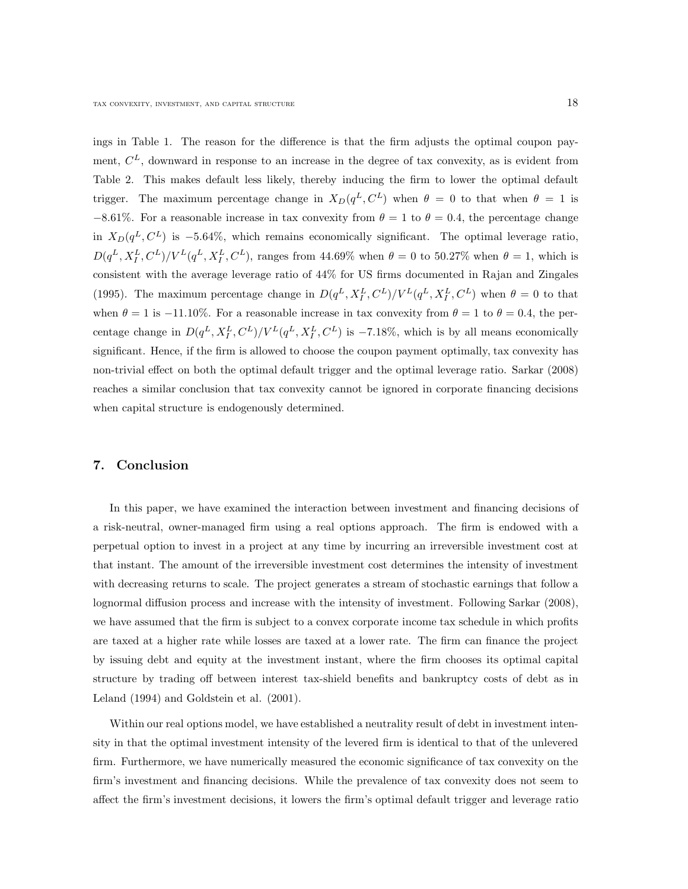ings in Table 1. The reason for the difference is that the firm adjusts the optimal coupon payment,  $C<sup>L</sup>$ , downward in response to an increase in the degree of tax convexity, as is evident from Table 2. This makes default less likely, thereby inducing the firm to lower the optimal default trigger. The maximum percentage change in  $X_D(q^L, C^L)$  when  $\theta = 0$  to that when  $\theta = 1$  is  $-8.61\%$ . For a reasonable increase in tax convexity from  $\theta = 1$  to  $\theta = 0.4$ , the percentage change in  $X_D(q^L, C^L)$  is -5.64%, which remains economically significant. The optimal leverage ratio,  $D(q^L, X_I^L, C^L) / V^L(q^L, X_I^L, C^L)$ , ranges from 44.69% when  $\theta = 0$  to 50.27% when  $\theta = 1$ , which is consistent with the average leverage ratio of 44% for US firms documented in Rajan and Zingales (1995). The maximum percentage change in  $D(q^L, X_I^L, C^L) / V^L(q^L, X_I^L, C^L)$  when  $\theta = 0$  to that when  $\theta = 1$  is −11.10%. For a reasonable increase in tax convexity from  $\theta = 1$  to  $\theta = 0.4$ , the percentage change in  $D(q^L, X_I^L, C^L) / V^L(q^L, X_I^L, C^L)$  is -7.18%, which is by all means economically significant. Hence, if the firm is allowed to choose the coupon payment optimally, tax convexity has non-trivial effect on both the optimal default trigger and the optimal leverage ratio. Sarkar (2008) reaches a similar conclusion that tax convexity cannot be ignored in corporate financing decisions when capital structure is endogenously determined.

#### 7. Conclusion

In this paper, we have examined the interaction between investment and financing decisions of a risk-neutral, owner-managed firm using a real options approach. The firm is endowed with a perpetual option to invest in a project at any time by incurring an irreversible investment cost at that instant. The amount of the irreversible investment cost determines the intensity of investment with decreasing returns to scale. The project generates a stream of stochastic earnings that follow a lognormal diffusion process and increase with the intensity of investment. Following Sarkar (2008), we have assumed that the firm is subject to a convex corporate income tax schedule in which profits are taxed at a higher rate while losses are taxed at a lower rate. The firm can finance the project by issuing debt and equity at the investment instant, where the firm chooses its optimal capital structure by trading off between interest tax-shield benefits and bankruptcy costs of debt as in Leland (1994) and Goldstein et al. (2001).

Within our real options model, we have established a neutrality result of debt in investment intensity in that the optimal investment intensity of the levered firm is identical to that of the unlevered firm. Furthermore, we have numerically measured the economic significance of tax convexity on the firm's investment and financing decisions. While the prevalence of tax convexity does not seem to affect the firm's investment decisions, it lowers the firm's optimal default trigger and leverage ratio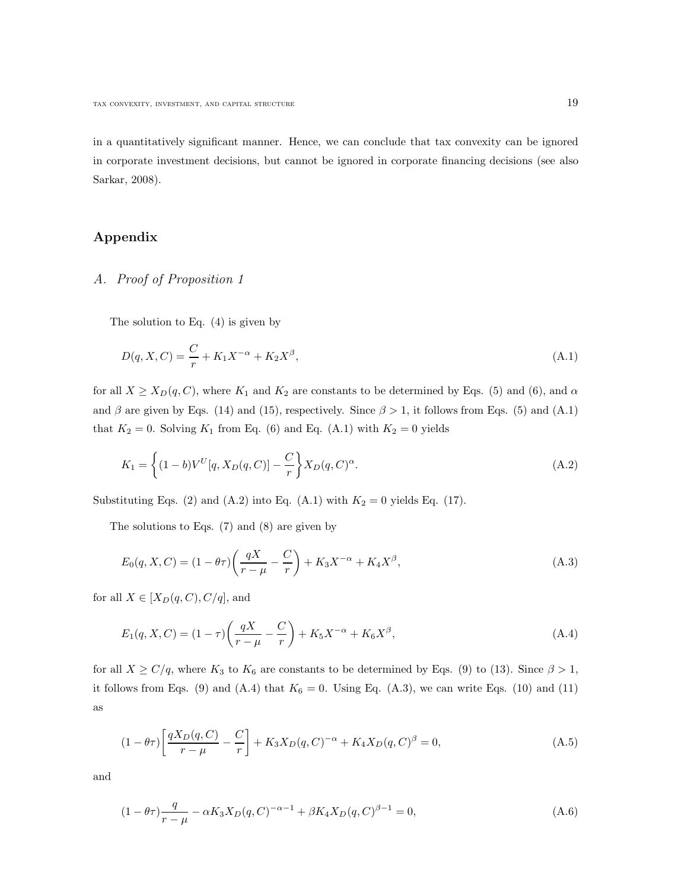in a quantitatively significant manner. Hence, we can conclude that tax convexity can be ignored in corporate investment decisions, but cannot be ignored in corporate financing decisions (see also Sarkar, 2008).

## Appendix

## A. Proof of Proposition 1

The solution to Eq. (4) is given by

$$
D(q, X, C) = \frac{C}{r} + K_1 X^{-\alpha} + K_2 X^{\beta}, \tag{A.1}
$$

for all  $X \ge X_D(q, C)$ , where  $K_1$  and  $K_2$  are constants to be determined by Eqs. (5) and (6), and  $\alpha$ and  $\beta$  are given by Eqs. (14) and (15), respectively. Since  $\beta > 1$ , it follows from Eqs. (5) and (A.1) that  $K_2 = 0$ . Solving  $K_1$  from Eq. (6) and Eq. (A.1) with  $K_2 = 0$  yields

$$
K_1 = \left\{ (1 - b)V^U[q, X_D(q, C)] - \frac{C}{r} \right\} X_D(q, C)^\alpha.
$$
\n(A.2)

Substituting Eqs. (2) and (A.2) into Eq. (A.1) with  $K_2 = 0$  yields Eq. (17).

The solutions to Eqs. (7) and (8) are given by

$$
E_0(q, X, C) = (1 - \theta \tau) \left( \frac{qX}{r - \mu} - \frac{C}{r} \right) + K_3 X^{-\alpha} + K_4 X^{\beta}, \tag{A.3}
$$

for all  $X \in [X_D(q, C), C/q]$ , and

$$
E_1(q, X, C) = (1 - \tau) \left( \frac{qX}{r - \mu} - \frac{C}{r} \right) + K_5 X^{-\alpha} + K_6 X^{\beta}, \tag{A.4}
$$

for all  $X \ge C/q$ , where  $K_3$  to  $K_6$  are constants to be determined by Eqs. (9) to (13). Since  $\beta > 1$ , it follows from Eqs. (9) and (A.4) that  $K_6 = 0$ . Using Eq. (A.3), we can write Eqs. (10) and (11) as

$$
(1 - \theta \tau) \left[ \frac{qX_D(q, C)}{r - \mu} - \frac{C}{r} \right] + K_3 X_D(q, C)^{-\alpha} + K_4 X_D(q, C)^{\beta} = 0,
$$
\n(A.5)

and

$$
(1 - \theta)\tau \frac{q}{r - \mu} - \alpha K_3 X_D(q, C)^{-\alpha - 1} + \beta K_4 X_D(q, C)^{\beta - 1} = 0,
$$
\n(A.6)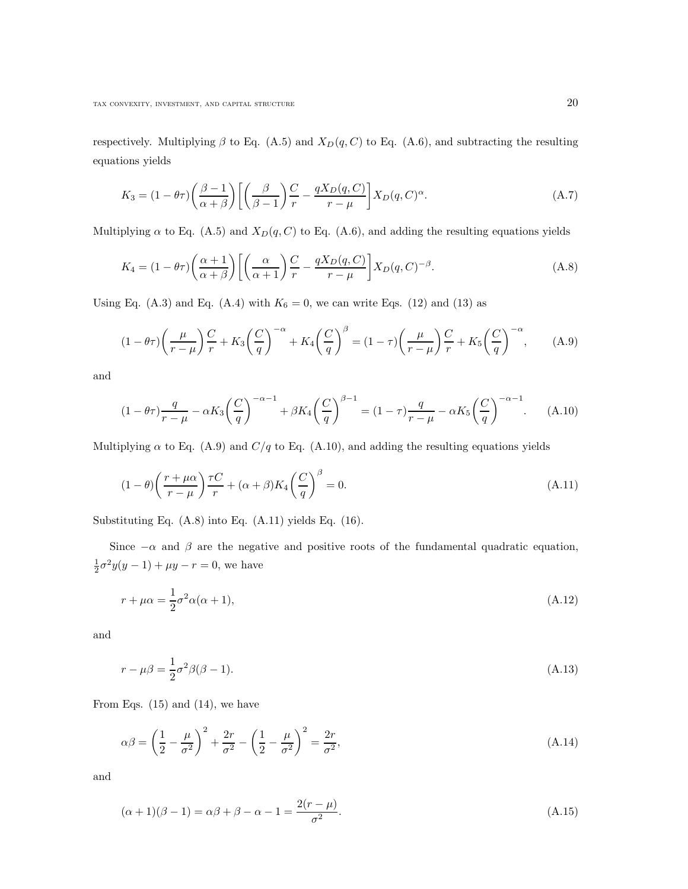respectively. Multiplying  $\beta$  to Eq. (A.5) and  $X_D(q, C)$  to Eq. (A.6), and subtracting the resulting equations yields

$$
K_3 = (1 - \theta \tau) \left(\frac{\beta - 1}{\alpha + \beta}\right) \left[ \left(\frac{\beta}{\beta - 1}\right) \frac{C}{r} - \frac{qX_D(q, C)}{r - \mu} \right] X_D(q, C)^\alpha.
$$
 (A.7)

Multiplying  $\alpha$  to Eq. (A.5) and  $X_D(q, C)$  to Eq. (A.6), and adding the resulting equations yields

$$
K_4 = (1 - \theta \tau) \left(\frac{\alpha + 1}{\alpha + \beta}\right) \left[ \left(\frac{\alpha}{\alpha + 1}\right) \frac{C}{r} - \frac{qX_D(q, C)}{r - \mu} \right] X_D(q, C)^{-\beta}.
$$
 (A.8)

Using Eq.  $(A.3)$  and Eq.  $(A.4)$  with  $K_6 = 0$ , we can write Eqs. (12) and (13) as

$$
(1 - \theta)\left(\frac{\mu}{r - \mu}\right)\frac{C}{r} + K_3 \left(\frac{C}{q}\right)^{-\alpha} + K_4 \left(\frac{C}{q}\right)^{\beta} = (1 - \tau)\left(\frac{\mu}{r - \mu}\right)\frac{C}{r} + K_5 \left(\frac{C}{q}\right)^{-\alpha}, \quad (A.9)
$$

and

$$
(1 - \theta)\tau \frac{q}{r - \mu} - \alpha K_3 \left(\frac{C}{q}\right)^{-\alpha - 1} + \beta K_4 \left(\frac{C}{q}\right)^{\beta - 1} = (1 - \tau)\frac{q}{r - \mu} - \alpha K_5 \left(\frac{C}{q}\right)^{-\alpha - 1}.
$$
 (A.10)

Multiplying  $\alpha$  to Eq. (A.9) and  $C/q$  to Eq. (A.10), and adding the resulting equations yields

$$
(1 - \theta) \left(\frac{r + \mu \alpha}{r - \mu}\right) \frac{\tau C}{r} + (\alpha + \beta) K_4 \left(\frac{C}{q}\right)^{\beta} = 0.
$$
\n(A.11)

Substituting Eq. (A.8) into Eq. (A.11) yields Eq. (16).

Since  $-\alpha$  and  $\beta$  are the negative and positive roots of the fundamental quadratic equation,  $\frac{1}{2}\sigma^2 y(y-1) + \mu y - r = 0$ , we have

$$
r + \mu \alpha = \frac{1}{2} \sigma^2 \alpha (\alpha + 1), \tag{A.12}
$$

and

$$
r - \mu\beta = \frac{1}{2}\sigma^2\beta(\beta - 1). \tag{A.13}
$$

From Eqs.  $(15)$  and  $(14)$ , we have

$$
\alpha \beta = \left(\frac{1}{2} - \frac{\mu}{\sigma^2}\right)^2 + \frac{2r}{\sigma^2} - \left(\frac{1}{2} - \frac{\mu}{\sigma^2}\right)^2 = \frac{2r}{\sigma^2},\tag{A.14}
$$

and

$$
(\alpha + 1)(\beta - 1) = \alpha \beta + \beta - \alpha - 1 = \frac{2(r - \mu)}{\sigma^2}.
$$
 (A.15)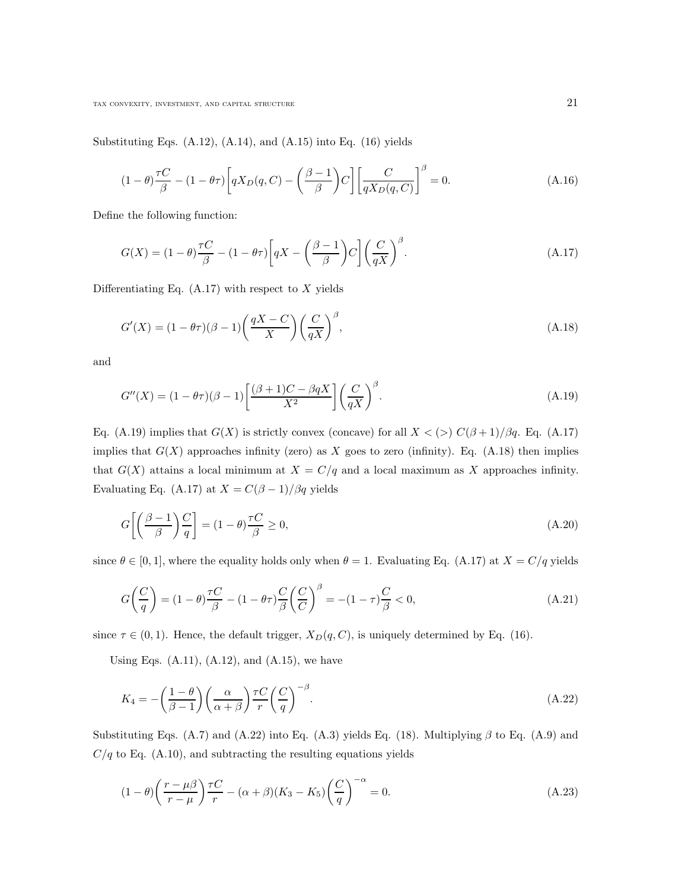Substituting Eqs. (A.12), (A.14), and (A.15) into Eq. (16) yields

$$
(1 - \theta)\frac{\tau C}{\beta} - (1 - \theta\tau) \left[ qX_D(q, C) - \left(\frac{\beta - 1}{\beta}\right) C \right] \left[ \frac{C}{qX_D(q, C)} \right]^\beta = 0. \tag{A.16}
$$

Define the following function:

$$
G(X) = (1 - \theta) \frac{\tau C}{\beta} - (1 - \theta \tau) \left[ qX - \left( \frac{\beta - 1}{\beta} \right) C \right] \left( \frac{C}{qX} \right)^{\beta}.
$$
 (A.17)

Differentiating Eq.  $(A.17)$  with respect to X yields

$$
G'(X) = (1 - \theta \tau)(\beta - 1) \left(\frac{qX - C}{X}\right) \left(\frac{C}{qX}\right)^{\beta},\tag{A.18}
$$

and

$$
G''(X) = (1 - \theta \tau)(\beta - 1) \left[ \frac{(\beta + 1)C - \beta qX}{X^2} \right] \left( \frac{C}{qX} \right)^{\beta}.
$$
\n(A.19)

Eq. (A.19) implies that  $G(X)$  is strictly convex (concave) for all  $X < (>) C(\beta+1)/\beta q$ . Eq. (A.17) implies that  $G(X)$  approaches infinity (zero) as X goes to zero (infinity). Eq. (A.18) then implies that  $G(X)$  attains a local minimum at  $X = C/q$  and a local maximum as X approaches infinity. Evaluating Eq. (A.17) at  $X = C(\beta - 1)/\beta q$  yields

$$
G\left[\left(\frac{\beta-1}{\beta}\right)\frac{C}{q}\right] = (1-\theta)\frac{\tau C}{\beta} \ge 0,
$$
\n(A.20)

since  $\theta \in [0, 1]$ , where the equality holds only when  $\theta = 1$ . Evaluating Eq. (A.17) at  $X = C/q$  yields

$$
G\left(\frac{C}{q}\right) = (1 - \theta)\frac{\tau C}{\beta} - (1 - \theta\tau)\frac{C}{\beta}\left(\frac{C}{C}\right)^{\beta} = -(1 - \tau)\frac{C}{\beta} < 0,\tag{A.21}
$$

since  $\tau \in (0, 1)$ . Hence, the default trigger,  $X_D(q, C)$ , is uniquely determined by Eq. (16).

Using Eqs.  $(A.11)$ ,  $(A.12)$ , and  $(A.15)$ , we have

$$
K_4 = -\left(\frac{1-\theta}{\beta-1}\right)\left(\frac{\alpha}{\alpha+\beta}\right)\frac{\tau C}{r}\left(\frac{C}{q}\right)^{-\beta}.\tag{A.22}
$$

Substituting Eqs. (A.7) and (A.22) into Eq. (A.3) yields Eq. (18). Multiplying  $\beta$  to Eq. (A.9) and  $C/q$  to Eq. (A.10), and subtracting the resulting equations yields

$$
(1 - \theta) \left(\frac{r - \mu\beta}{r - \mu}\right) \frac{\tau C}{r} - (\alpha + \beta)(K_3 - K_5) \left(\frac{C}{q}\right)^{-\alpha} = 0.
$$
\n(A.23)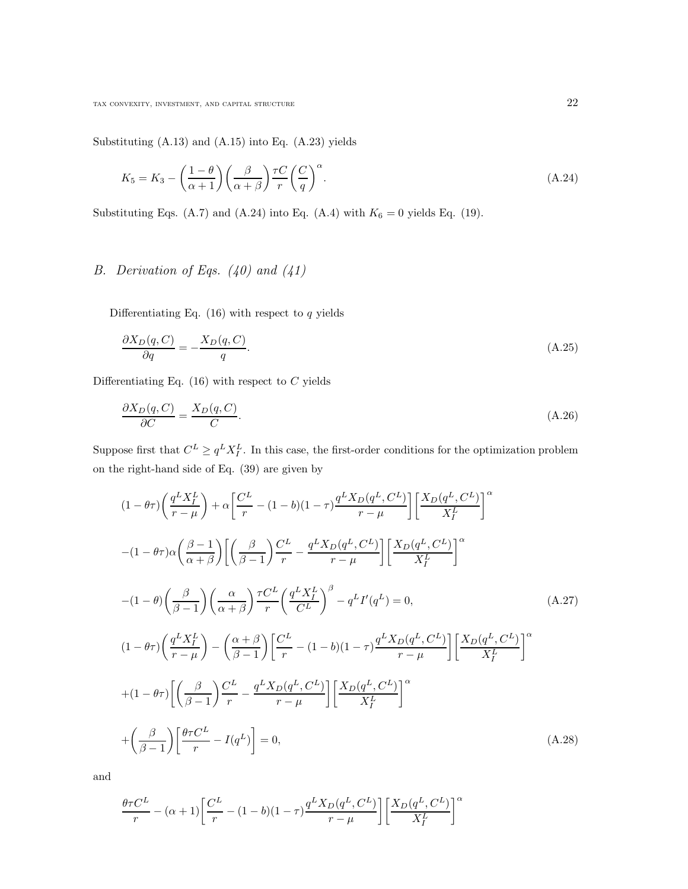Substituting (A.13) and (A.15) into Eq. (A.23) yields

$$
K_5 = K_3 - \left(\frac{1-\theta}{\alpha+1}\right) \left(\frac{\beta}{\alpha+\beta}\right) \frac{\tau C}{r} \left(\frac{C}{q}\right)^{\alpha}.
$$
\n(A.24)

Substituting Eqs. (A.7) and (A.24) into Eq. (A.4) with  $K_6 = 0$  yields Eq. (19).

# B. Derivation of Eqs.  $(40)$  and  $(41)$

Differentiating Eq.  $(16)$  with respect to q yields

$$
\frac{\partial X_D(q, C)}{\partial q} = -\frac{X_D(q, C)}{q}.\tag{A.25}
$$

Differentiating Eq.  $(16)$  with respect to C yields

$$
\frac{\partial X_D(q, C)}{\partial C} = \frac{X_D(q, C)}{C}.\tag{A.26}
$$

Suppose first that  $C^L \ge q^L X_I^L$ . In this case, the first-order conditions for the optimization problem on the right-hand side of Eq. (39) are given by

$$
(1 - \theta\tau) \left(\frac{q^L X_I^L}{r - \mu}\right) + \alpha \left[\frac{C^L}{r} - (1 - b)(1 - \tau) \frac{q^L X_D(q^L, C^L)}{r - \mu}\right] \left[\frac{X_D(q^L, C^L)}{X_I^L}\right]^\alpha
$$
  

$$
-(1 - \theta\tau) \alpha \left(\frac{\beta - 1}{\alpha + \beta}\right) \left[\left(\frac{\beta}{\beta - 1}\right) \frac{C^L}{r} - \frac{q^L X_D(q^L, C^L)}{r - \mu}\right] \left[\frac{X_D(q^L, C^L)}{X_I^L}\right]^\alpha
$$
  

$$
-(1 - \theta) \left(\frac{\beta}{\beta - 1}\right) \left(\frac{\alpha}{\alpha + \beta}\right) \frac{\tau C^L}{r} \left(\frac{q^L X_I^L}{C^L}\right)^\beta - q^L I'(q^L) = 0,
$$
 (A.27)  

$$
(1 - \theta\tau) \left(\frac{q^L X_I^L}{r - \mu}\right) - \left(\frac{\alpha + \beta}{\beta - 1}\right) \left[\frac{C^L}{r} - (1 - b)(1 - \tau) \frac{q^L X_D(q^L, C^L)}{r - \mu}\right] \left[\frac{X_D(q^L, C^L)}{X_I^L}\right]^\alpha
$$
  

$$
+(1 - \theta\tau) \left[\left(\frac{\beta}{\beta - 1}\right) \frac{C^L}{r} - \frac{q^L X_D(q^L, C^L)}{r - \mu}\right] \left[\frac{X_D(q^L, C^L)}{X_I^L}\right]^\alpha
$$
  

$$
+ \left(\frac{\beta}{\beta - 1}\right) \left[\frac{\theta\tau C^L}{r} - I(q^L)\right] = 0,
$$
 (A.28)

and

$$
\frac{\theta \tau C^L}{r} - (\alpha + 1) \left[ \frac{C^L}{r} - (1 - b)(1 - \tau) \frac{q^L X_D(q^L, C^L)}{r - \mu} \right] \left[ \frac{X_D(q^L, C^L)}{X_I^L} \right]^\alpha
$$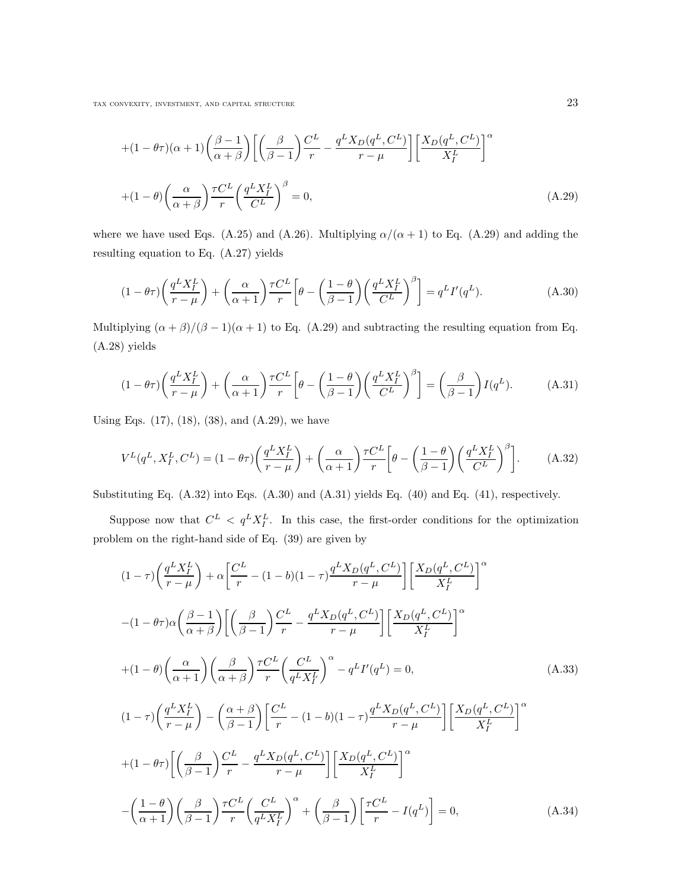tax convexity, investment, and capital structure  $23$ 

$$
+(1 - \theta)\alpha + 1\alpha \left(\frac{\beta - 1}{\alpha + \beta}\right) \left[ \left(\frac{\beta}{\beta - 1}\right) \frac{C^L}{r} - \frac{q^L X_D(q^L, C^L)}{r - \mu} \right] \left[ \frac{X_D(q^L, C^L)}{X_I^L} \right]^\alpha
$$
  
+ 
$$
(1 - \theta) \left( \frac{\alpha}{\alpha + \beta} \right) \frac{\tau C^L}{r} \left( \frac{q^L X_I^L}{C^L} \right)^\beta = 0,
$$
 (A.29)

where we have used Eqs. (A.25) and (A.26). Multiplying  $\alpha/(\alpha + 1)$  to Eq. (A.29) and adding the resulting equation to Eq. (A.27) yields

$$
(1 - \theta \tau) \left(\frac{q^L X_I^L}{r - \mu}\right) + \left(\frac{\alpha}{\alpha + 1}\right) \frac{\tau C^L}{r} \left[\theta - \left(\frac{1 - \theta}{\beta - 1}\right) \left(\frac{q^L X_I^L}{C^L}\right)^{\beta}\right] = q^L I'(q^L). \tag{A.30}
$$

Multiplying  $(\alpha + \beta)/(\beta - 1)(\alpha + 1)$  to Eq. (A.29) and subtracting the resulting equation from Eq. (A.28) yields

$$
(1 - \theta \tau) \left(\frac{q^L X_I^L}{r - \mu}\right) + \left(\frac{\alpha}{\alpha + 1}\right) \frac{\tau C^L}{r} \left[\theta - \left(\frac{1 - \theta}{\beta - 1}\right) \left(\frac{q^L X_I^L}{C^L}\right)^{\beta}\right] = \left(\frac{\beta}{\beta - 1}\right) I(q^L). \tag{A.31}
$$

Using Eqs.  $(17)$ ,  $(18)$ ,  $(38)$ , and  $(A.29)$ , we have

$$
V^{L}(q^{L}, X_{I}^{L}, C^{L}) = (1 - \theta \tau) \left( \frac{q^{L} X_{I}^{L}}{r - \mu} \right) + \left( \frac{\alpha}{\alpha + 1} \right) \frac{\tau C^{L}}{r} \left[ \theta - \left( \frac{1 - \theta}{\beta - 1} \right) \left( \frac{q^{L} X_{I}^{L}}{C^{L}} \right)^{\beta} \right].
$$
 (A.32)

Substituting Eq. (A.32) into Eqs. (A.30) and (A.31) yields Eq. (40) and Eq. (41), respectively.

Suppose now that  $C^L < q^L X_I^L$ . In this case, the first-order conditions for the optimization problem on the right-hand side of Eq. (39) are given by

$$
(1 - \tau) \left(\frac{q^L X_I^L}{r - \mu}\right) + \alpha \left[\frac{C^L}{r} - (1 - b)(1 - \tau)\frac{q^L X_D(q^L, C^L)}{r - \mu}\right] \left[\frac{X_D(q^L, C^L)}{X_I^L}\right]^\alpha
$$
  

$$
-(1 - \theta\tau)\alpha \left(\frac{\beta - 1}{\alpha + \beta}\right) \left[\left(\frac{\beta}{\beta - 1}\right) \frac{C^L}{r} - \frac{q^L X_D(q^L, C^L)}{r - \mu}\right] \left[\frac{X_D(q^L, C^L)}{X_I^L}\right]^\alpha
$$
  

$$
+(1 - \theta) \left(\frac{\alpha}{\alpha + 1}\right) \left(\frac{\beta}{\alpha + \beta}\right) \frac{\tau C^L}{r} \left(\frac{C^L}{q^L X_I^L}\right)^\alpha - q^L I'(q^L) = 0,
$$
 (A.33)  

$$
(1 - \tau) \left(\frac{q^L X_I^L}{r - \mu}\right) - \left(\frac{\alpha + \beta}{\beta - 1}\right) \left[\frac{C^L}{r} - (1 - b)(1 - \tau)\frac{q^L X_D(q^L, C^L)}{r - \mu}\right] \left[\frac{X_D(q^L, C^L)}{X_I^L}\right]^\alpha
$$
  

$$
+(1 - \theta\tau) \left[\left(\frac{\beta}{\beta - 1}\right) \frac{C^L}{r} - \frac{q^L X_D(q^L, C^L)}{r - \mu}\right] \left[\frac{X_D(q^L, C^L)}{X_I^L}\right]^\alpha
$$
  

$$
-\left(\frac{1 - \theta}{\alpha + 1}\right) \left(\frac{\beta}{\beta - 1}\right) \frac{\tau C^L}{r} \left(\frac{C^L}{q^L X_I^L}\right)^\alpha + \left(\frac{\beta}{\beta - 1}\right) \left[\frac{\tau C^L}{r} - I(q^L)\right] = 0,
$$
 (A.34)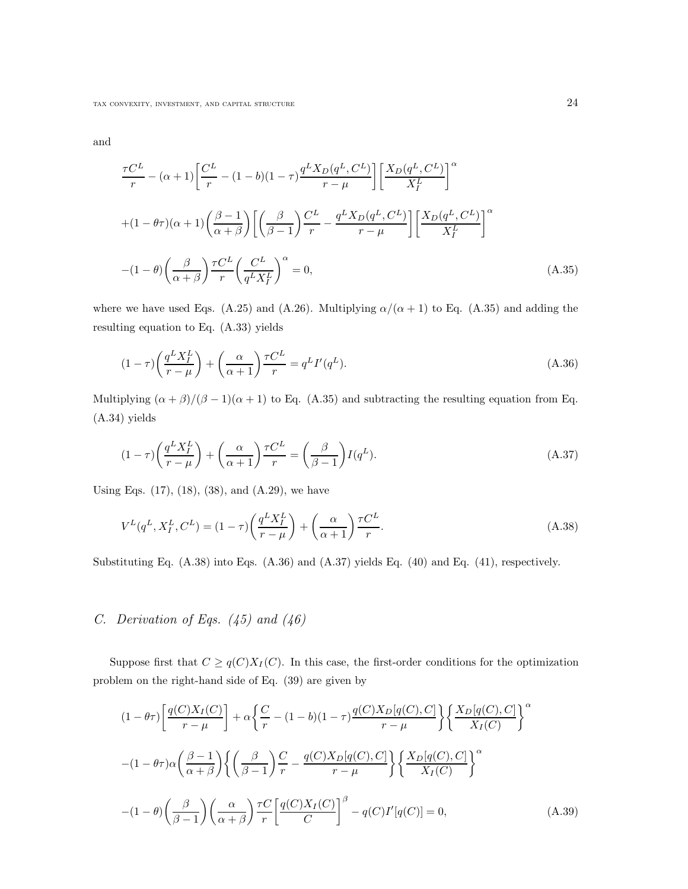and

$$
\frac{\tau C^L}{r} - (\alpha + 1) \left[ \frac{C^L}{r} - (1 - b)(1 - \tau) \frac{q^L X_D(q^L, C^L)}{r - \mu} \right] \left[ \frac{X_D(q^L, C^L)}{X_I^L} \right]^\alpha
$$
  
+(1 -  $\theta \tau$ )( $\alpha$  + 1)  $\left( \frac{\beta - 1}{\alpha + \beta} \right) \left[ \left( \frac{\beta}{\beta - 1} \right) \frac{C^L}{r} - \frac{q^L X_D(q^L, C^L)}{r - \mu} \right] \left[ \frac{X_D(q^L, C^L)}{X_I^L} \right]^\alpha$   
-(1 -  $\theta$ )  $\left( \frac{\beta}{\alpha + \beta} \right) \frac{\tau C^L}{r} \left( \frac{C^L}{q^L X_I^L} \right)^\alpha = 0,$  (A.35)

where we have used Eqs. (A.25) and (A.26). Multiplying  $\alpha/(\alpha + 1)$  to Eq. (A.35) and adding the resulting equation to Eq. (A.33) yields

$$
(1 - \tau) \left(\frac{q^L X_I^L}{r - \mu}\right) + \left(\frac{\alpha}{\alpha + 1}\right) \frac{\tau C^L}{r} = q^L I'(q^L). \tag{A.36}
$$

Multiplying  $(\alpha + \beta)/(\beta - 1)(\alpha + 1)$  to Eq. (A.35) and subtracting the resulting equation from Eq. (A.34) yields

$$
(1 - \tau) \left(\frac{q^L X_I^L}{r - \mu}\right) + \left(\frac{\alpha}{\alpha + 1}\right) \frac{\tau C^L}{r} = \left(\frac{\beta}{\beta - 1}\right) I(q^L). \tag{A.37}
$$

Using Eqs. (17), (18), (38), and (A.29), we have

$$
V^{L}(q^{L}, X_{I}^{L}, C^{L}) = (1 - \tau) \left(\frac{q^{L} X_{I}^{L}}{r - \mu}\right) + \left(\frac{\alpha}{\alpha + 1}\right) \frac{\tau C^{L}}{r}.
$$
\n(A.38)

Substituting Eq. (A.38) into Eqs. (A.36) and (A.37) yields Eq. (40) and Eq. (41), respectively.

# C. Derivation of Eqs.  $(45)$  and  $(46)$

Suppose first that  $C \geq q(C)X_I(C)$ . In this case, the first-order conditions for the optimization problem on the right-hand side of Eq. (39) are given by

$$
(1 - \theta\tau) \left[ \frac{q(C)X_I(C)}{r - \mu} \right] + \alpha \left\{ \frac{C}{r} - (1 - b)(1 - \tau) \frac{q(C)X_D[q(C), C]}{r - \mu} \right\} \left\{ \frac{X_D[q(C), C]}{X_I(C)} \right\}^{\alpha}
$$

$$
-(1 - \theta\tau)\alpha \left( \frac{\beta - 1}{\alpha + \beta} \right) \left\{ \left( \frac{\beta}{\beta - 1} \right) \frac{C}{r} - \frac{q(C)X_D[q(C), C]}{r - \mu} \right\} \left\{ \frac{X_D[q(C), C]}{X_I(C)} \right\}^{\alpha}
$$

$$
-(1 - \theta) \left( \frac{\beta}{\beta - 1} \right) \left( \frac{\alpha}{\alpha + \beta} \right) \frac{\tau C}{r} \left[ \frac{q(C)X_I(C)}{C} \right]^{\beta} - q(C)I'[q(C)] = 0,
$$
(A.39)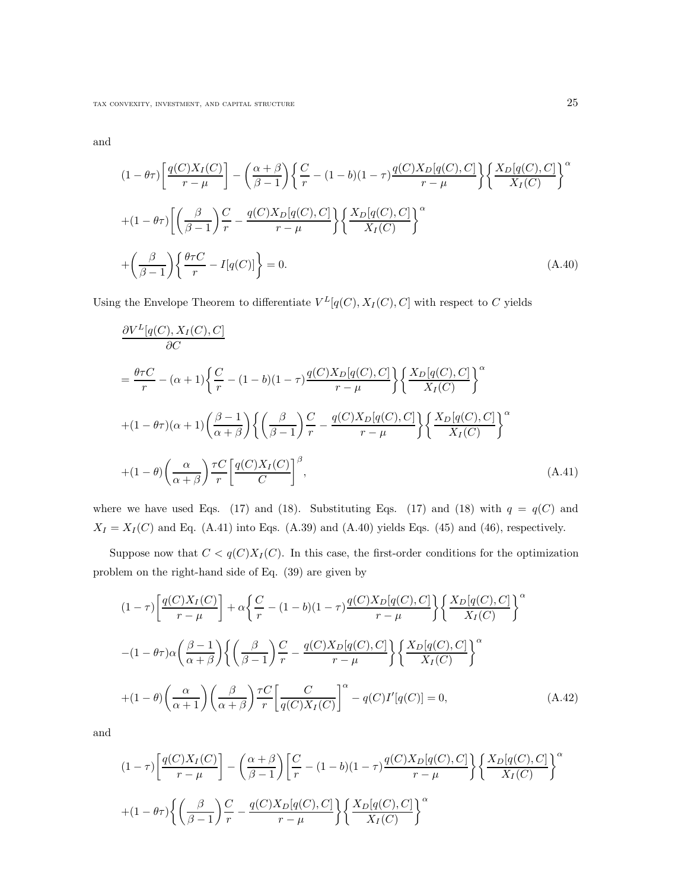and

$$
(1 - \theta\tau) \left[ \frac{q(C)X_I(C)}{r - \mu} \right] - \left( \frac{\alpha + \beta}{\beta - 1} \right) \left\{ \frac{C}{r} - (1 - b)(1 - \tau) \frac{q(C)X_D[q(C), C]}{r - \mu} \right\} \left\{ \frac{X_D[q(C), C]}{X_I(C)} \right\}^{\alpha}
$$
  
+(1 - \theta\tau) \left[ \left( \frac{\beta}{\beta - 1} \right) \frac{C}{r} - \frac{q(C)X\_D[q(C), C]}{r - \mu} \right] \left\{ \frac{X\_D[q(C), C]}{X\_I(C)} \right\}^{\alpha}  
+(\frac{\beta}{\beta - 1}) \left\{ \frac{\theta\tau C}{r} - I[q(C)] \right\} = 0. \tag{A.40}

Using the Envelope Theorem to differentiate  $V^L[q(C), X_I(C), C]$  with respect to C yields

$$
\frac{\partial V^{L}[q(C), X_{I}(C), C]}{\partial C}
$$
\n
$$
= \frac{\theta \tau C}{r} - (\alpha + 1) \left\{ \frac{C}{r} - (1 - b)(1 - \tau) \frac{q(C)X_{D}[q(C), C]}{r - \mu} \right\} \left\{ \frac{X_{D}[q(C), C]}{X_{I}(C)} \right\}^{\alpha}
$$
\n
$$
+ (1 - \theta \tau)(\alpha + 1) \left( \frac{\beta - 1}{\alpha + \beta} \right) \left\{ \left( \frac{\beta}{\beta - 1} \right) \frac{C}{r} - \frac{q(C)X_{D}[q(C), C]}{r - \mu} \right\} \left\{ \frac{X_{D}[q(C), C]}{X_{I}(C)} \right\}^{\alpha}
$$
\n
$$
+ (1 - \theta) \left( \frac{\alpha}{\alpha + \beta} \right) \frac{\tau C}{r} \left[ \frac{q(C)X_{I}(C)}{C} \right]^{\beta}, \tag{A.41}
$$

where we have used Eqs. (17) and (18). Substituting Eqs. (17) and (18) with  $q = q(C)$  and  $X_I = X_I(C)$  and Eq. (A.41) into Eqs. (A.39) and (A.40) yields Eqs. (45) and (46), respectively.

Suppose now that  $C < q(C)X_I(C)$ . In this case, the first-order conditions for the optimization problem on the right-hand side of Eq. (39) are given by

$$
(1 - \tau) \left[ \frac{q(C)X_I(C)}{r - \mu} \right] + \alpha \left\{ \frac{C}{r} - (1 - b)(1 - \tau) \frac{q(C)X_D[q(C), C]}{r - \mu} \right\} \left\{ \frac{X_D[q(C), C]}{X_I(C)} \right\}^{\alpha}
$$

$$
-(1 - \theta \tau) \alpha \left( \frac{\beta - 1}{\alpha + \beta} \right) \left\{ \left( \frac{\beta}{\beta - 1} \right) \frac{C}{r} - \frac{q(C)X_D[q(C), C]}{r - \mu} \right\} \left\{ \frac{X_D[q(C), C]}{X_I(C)} \right\}^{\alpha}
$$

$$
+(1 - \theta) \left( \frac{\alpha}{\alpha + 1} \right) \left( \frac{\beta}{\alpha + \beta} \right) \frac{\tau C}{r} \left[ \frac{C}{q(C)X_I(C)} \right]^{\alpha} - q(C)I'[q(C)] = 0,
$$
(A.42)

and

$$
(1 - \tau) \left[ \frac{q(C)X_I(C)}{r - \mu} \right] - \left( \frac{\alpha + \beta}{\beta - 1} \right) \left[ \frac{C}{r} - (1 - b)(1 - \tau) \frac{q(C)X_D[q(C), C]}{r - \mu} \right] \left\{ \frac{X_D[q(C), C]}{X_I(C)} \right\}^{\alpha}
$$

$$
+ (1 - \theta)\left\{ \left( \frac{\beta}{\beta - 1} \right) \frac{C}{r} - \frac{q(C)X_D[q(C), C]}{r - \mu} \right\} \left\{ \frac{X_D[q(C), C]}{X_I(C)} \right\}^{\alpha}
$$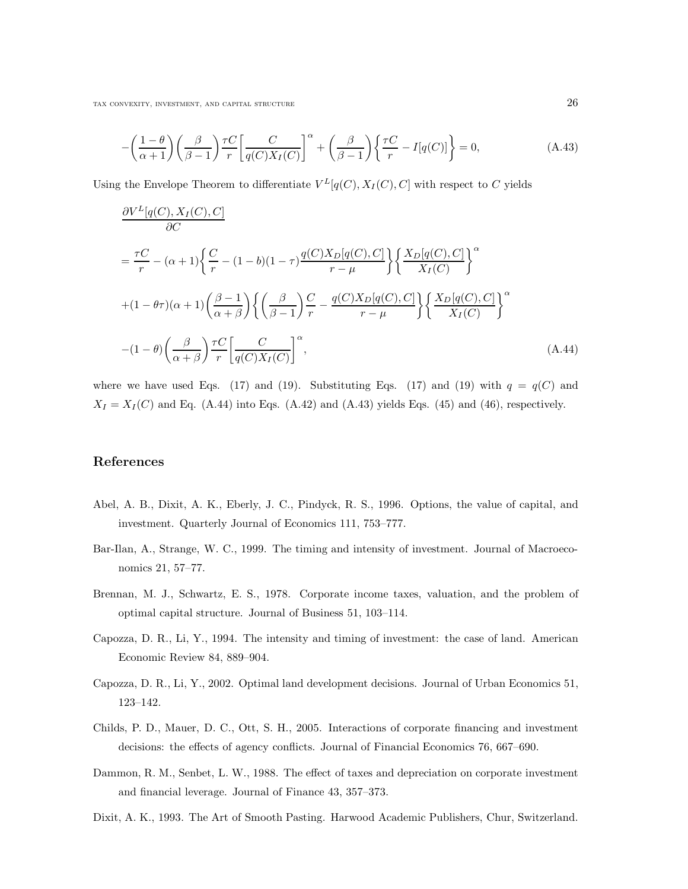$$
-\left(\frac{1-\theta}{\alpha+1}\right)\left(\frac{\beta}{\beta-1}\right)\frac{\tau C}{r}\left[\frac{C}{q(C)X_I(C)}\right]^\alpha + \left(\frac{\beta}{\beta-1}\right)\left\{\frac{\tau C}{r} - I[q(C)]\right\} = 0,
$$
\n(A.43)

Using the Envelope Theorem to differentiate  $V^L[q(C), X_I(C), C]$  with respect to C yields

$$
\frac{\partial V^{L}[q(C), X_{I}(C), C]}{\partial C}
$$
\n
$$
= \frac{\tau C}{r} - (\alpha + 1) \left\{ \frac{C}{r} - (1 - b)(1 - \tau) \frac{q(C)X_{D}[q(C), C]}{r - \mu} \right\} \left\{ \frac{X_{D}[q(C), C]}{X_{I}(C)} \right\}^{\alpha}
$$
\n
$$
+ (1 - \theta \tau)(\alpha + 1) \left( \frac{\beta - 1}{\alpha + \beta} \right) \left\{ \left( \frac{\beta}{\beta - 1} \right) \frac{C}{r} - \frac{q(C)X_{D}[q(C), C]}{r - \mu} \right\} \left\{ \frac{X_{D}[q(C), C]}{X_{I}(C)} \right\}^{\alpha}
$$
\n
$$
- (1 - \theta) \left( \frac{\beta}{\alpha + \beta} \right) \frac{\tau C}{r} \left[ \frac{C}{q(C)X_{I}(C)} \right]^{\alpha}, \tag{A.44}
$$

where we have used Eqs. (17) and (19). Substituting Eqs. (17) and (19) with  $q = q(C)$  and  $X_I = X_I(C)$  and Eq. (A.44) into Eqs. (A.42) and (A.43) yields Eqs. (45) and (46), respectively.

## References

- Abel, A. B., Dixit, A. K., Eberly, J. C., Pindyck, R. S., 1996. Options, the value of capital, and investment. Quarterly Journal of Economics 111, 753–777.
- Bar-Ilan, A., Strange, W. C., 1999. The timing and intensity of investment. Journal of Macroeconomics 21, 57–77.
- Brennan, M. J., Schwartz, E. S., 1978. Corporate income taxes, valuation, and the problem of optimal capital structure. Journal of Business 51, 103–114.
- Capozza, D. R., Li, Y., 1994. The intensity and timing of investment: the case of land. American Economic Review 84, 889–904.
- Capozza, D. R., Li, Y., 2002. Optimal land development decisions. Journal of Urban Economics 51, 123–142.
- Childs, P. D., Mauer, D. C., Ott, S. H., 2005. Interactions of corporate financing and investment decisions: the effects of agency conflicts. Journal of Financial Economics 76, 667–690.
- Dammon, R. M., Senbet, L. W., 1988. The effect of taxes and depreciation on corporate investment and financial leverage. Journal of Finance 43, 357–373.
- Dixit, A. K., 1993. The Art of Smooth Pasting. Harwood Academic Publishers, Chur, Switzerland.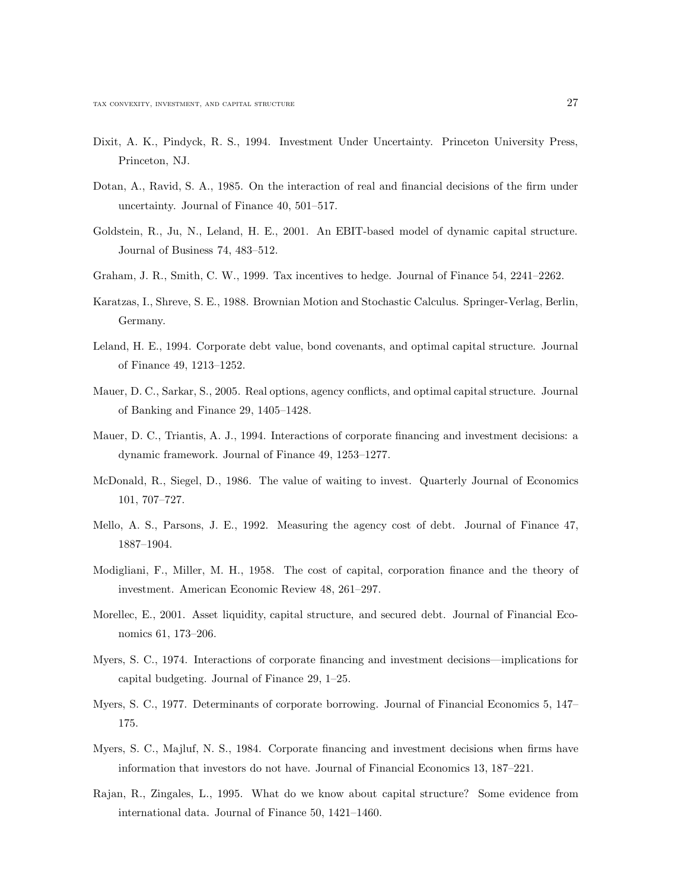- Dixit, A. K., Pindyck, R. S., 1994. Investment Under Uncertainty. Princeton University Press, Princeton, NJ.
- Dotan, A., Ravid, S. A., 1985. On the interaction of real and financial decisions of the firm under uncertainty. Journal of Finance 40, 501–517.
- Goldstein, R., Ju, N., Leland, H. E., 2001. An EBIT-based model of dynamic capital structure. Journal of Business 74, 483–512.
- Graham, J. R., Smith, C. W., 1999. Tax incentives to hedge. Journal of Finance 54, 2241–2262.
- Karatzas, I., Shreve, S. E., 1988. Brownian Motion and Stochastic Calculus. Springer-Verlag, Berlin, Germany.
- Leland, H. E., 1994. Corporate debt value, bond covenants, and optimal capital structure. Journal of Finance 49, 1213–1252.
- Mauer, D. C., Sarkar, S., 2005. Real options, agency conflicts, and optimal capital structure. Journal of Banking and Finance 29, 1405–1428.
- Mauer, D. C., Triantis, A. J., 1994. Interactions of corporate financing and investment decisions: a dynamic framework. Journal of Finance 49, 1253–1277.
- McDonald, R., Siegel, D., 1986. The value of waiting to invest. Quarterly Journal of Economics 101, 707–727.
- Mello, A. S., Parsons, J. E., 1992. Measuring the agency cost of debt. Journal of Finance 47, 1887–1904.
- Modigliani, F., Miller, M. H., 1958. The cost of capital, corporation finance and the theory of investment. American Economic Review 48, 261–297.
- Morellec, E., 2001. Asset liquidity, capital structure, and secured debt. Journal of Financial Economics 61, 173–206.
- Myers, S. C., 1974. Interactions of corporate financing and investment decisions—implications for capital budgeting. Journal of Finance 29, 1–25.
- Myers, S. C., 1977. Determinants of corporate borrowing. Journal of Financial Economics 5, 147– 175.
- Myers, S. C., Majluf, N. S., 1984. Corporate financing and investment decisions when firms have information that investors do not have. Journal of Financial Economics 13, 187–221.
- Rajan, R., Zingales, L., 1995. What do we know about capital structure? Some evidence from international data. Journal of Finance 50, 1421–1460.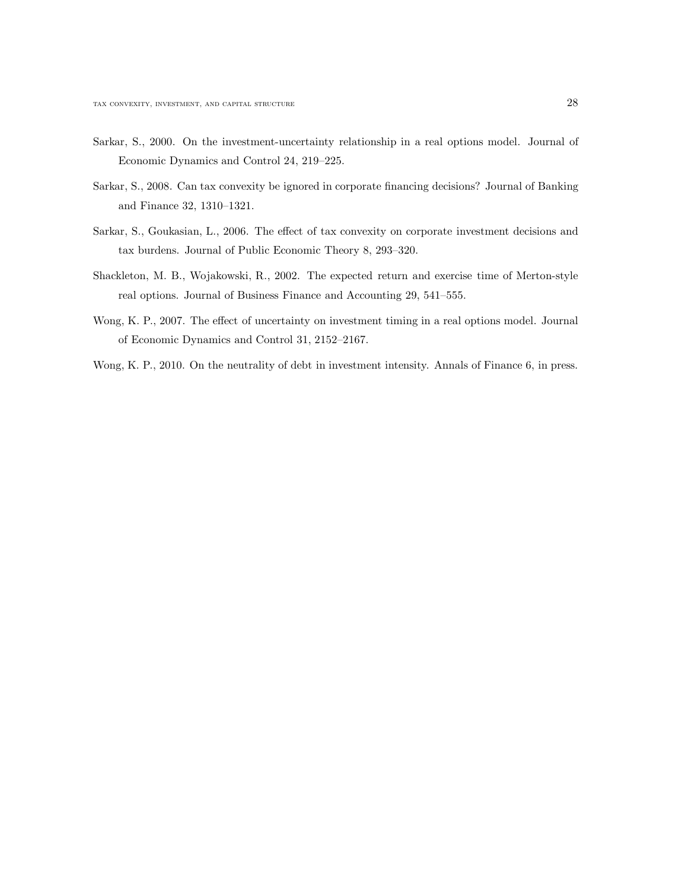- Sarkar, S., 2000. On the investment-uncertainty relationship in a real options model. Journal of Economic Dynamics and Control 24, 219–225.
- Sarkar, S., 2008. Can tax convexity be ignored in corporate financing decisions? Journal of Banking and Finance 32, 1310–1321.
- Sarkar, S., Goukasian, L., 2006. The effect of tax convexity on corporate investment decisions and tax burdens. Journal of Public Economic Theory 8, 293–320.
- Shackleton, M. B., Wojakowski, R., 2002. The expected return and exercise time of Merton-style real options. Journal of Business Finance and Accounting 29, 541–555.
- Wong, K. P., 2007. The effect of uncertainty on investment timing in a real options model. Journal of Economic Dynamics and Control 31, 2152–2167.
- Wong, K. P., 2010. On the neutrality of debt in investment intensity. Annals of Finance 6, in press.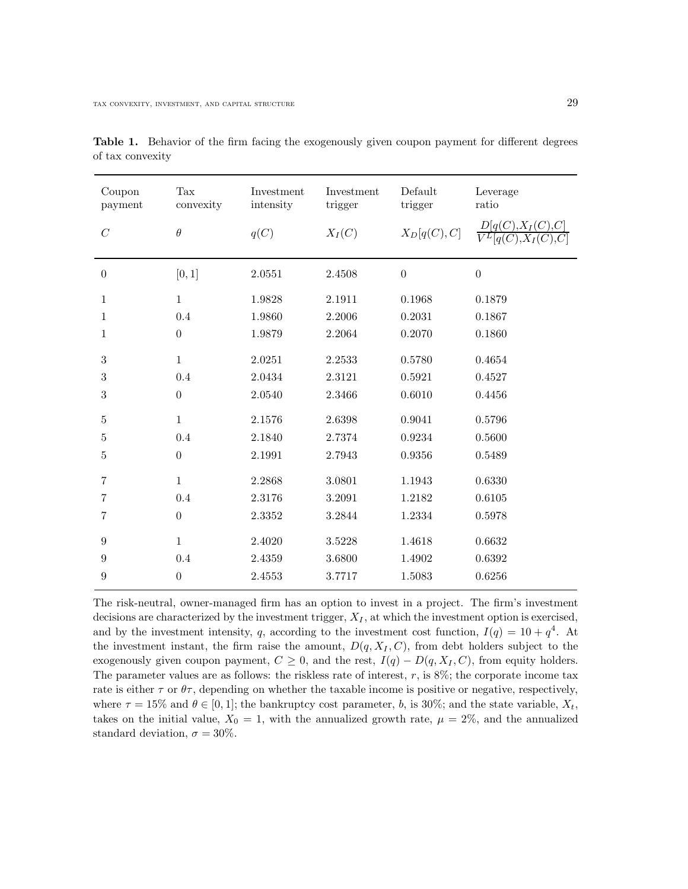| Coupon<br>payment | Tax<br>convexity | Investment<br>intensity | Investment<br>trigger | Default<br>trigger | Leverage<br>ratio |
|-------------------|------------------|-------------------------|-----------------------|--------------------|-------------------|
| $\cal C$          | $\theta$         | q(C)                    | $X_I(C)$              | $X_D[q(C),C]$      |                   |
| $\boldsymbol{0}$  | [0,1]            | 2.0551                  | 2.4508                | $\overline{0}$     | $\boldsymbol{0}$  |
| $\mathbf{1}$      | $\mathbf{1}$     | 1.9828                  | 2.1911                | 0.1968             | 0.1879            |
| $\mathbf{1}$      | 0.4              | 1.9860                  | 2.2006                | 0.2031             | 0.1867            |
| $\mathbf{1}$      | $\theta$         | 1.9879                  | 2.2064                | 0.2070             | 0.1860            |
| 3                 | $\mathbf{1}$     | 2.0251                  | 2.2533                | 0.5780             | 0.4654            |
| 3                 | 0.4              | 2.0434                  | 2.3121                | 0.5921             | 0.4527            |
| 3                 | $\boldsymbol{0}$ | 2.0540                  | 2.3466                | 0.6010             | 0.4456            |
| $\bf 5$           | $\mathbf{1}$     | 2.1576                  | 2.6398                | 0.9041             | 0.5796            |
| $\overline{5}$    | 0.4              | 2.1840                  | 2.7374                | 0.9234             | 0.5600            |
| $\bf 5$           | $\boldsymbol{0}$ | 2.1991                  | 2.7943                | 0.9356             | 0.5489            |
| $\overline{7}$    | $\mathbf{1}$     | 2.2868                  | 3.0801                | 1.1943             | 0.6330            |
| 7                 | 0.4              | 2.3176                  | 3.2091                | 1.2182             | 0.6105            |
| $\overline{7}$    | $\boldsymbol{0}$ | 2.3352                  | 3.2844                | 1.2334             | 0.5978            |
| 9                 | $\mathbf{1}$     | 2.4020                  | 3.5228                | 1.4618             | 0.6632            |
| 9                 | 0.4              | 2.4359                  | 3.6800                | 1.4902             | 0.6392            |
| 9                 | $\boldsymbol{0}$ | 2.4553                  | 3.7717                | 1.5083             | 0.6256            |

Table 1. Behavior of the firm facing the exogenously given coupon payment for different degrees of tax convexity

The risk-neutral, owner-managed firm has an option to invest in a project. The firm's investment decisions are characterized by the investment trigger,  $X_I$ , at which the investment option is exercised, and by the investment intensity, q, according to the investment cost function,  $I(q) = 10 + q^4$ . At the investment instant, the firm raise the amount,  $D(q, X_I, C)$ , from debt holders subject to the exogenously given coupon payment,  $C \geq 0$ , and the rest,  $I(q) - D(q, X_I, C)$ , from equity holders. The parameter values are as follows: the riskless rate of interest,  $r$ , is  $8\%$ ; the corporate income tax rate is either  $\tau$  or  $\theta\tau$ , depending on whether the taxable income is positive or negative, respectively, where  $\tau = 15\%$  and  $\theta \in [0, 1]$ ; the bankruptcy cost parameter, b, is 30%; and the state variable,  $X_t$ , takes on the initial value,  $X_0 = 1$ , with the annualized growth rate,  $\mu = 2\%$ , and the annualized standard deviation,  $\sigma = 30\%$ .